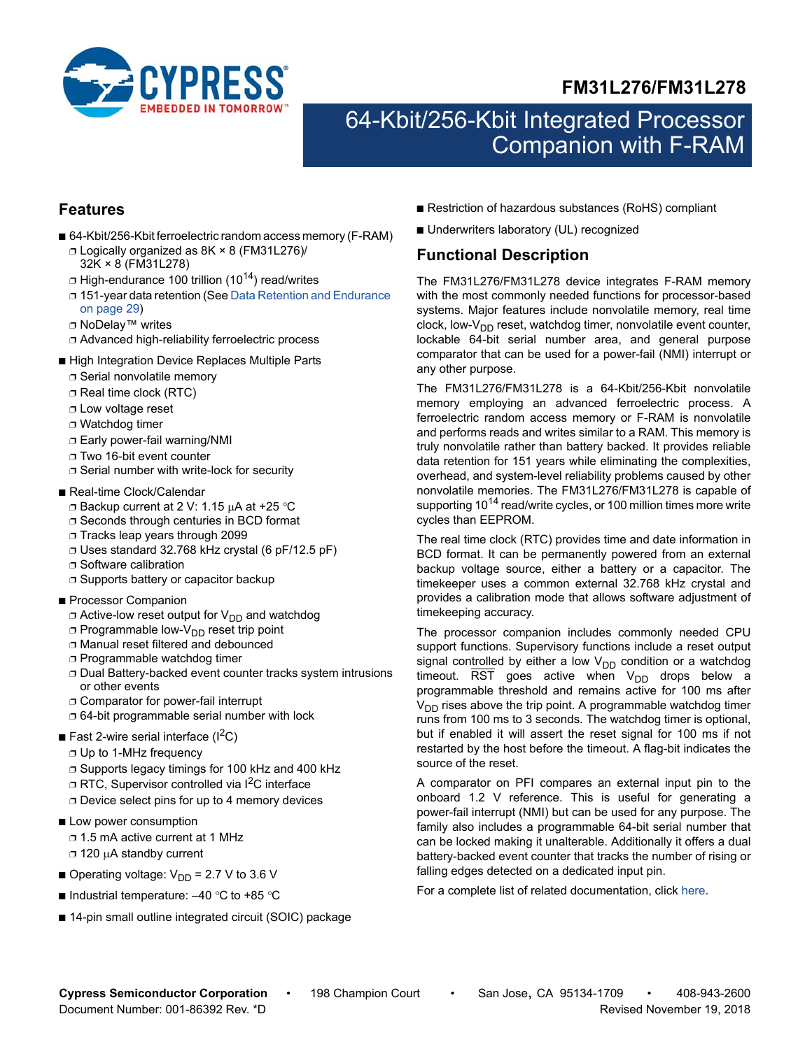



# 64-Kbit/256-Kbit Integrated Processor Companion with F-RAM

# **Features**

- 64-Kbit/256-Kbit ferroelectric random access memory (F-RAM) ❐ Logically organized as 8K × 8 (FM31L276)/
	- 32K × 8 (FM31L278)  $\Box$  High-endurance 100 trillion (10<sup>14</sup>) read/writes
	- ❐ 151-year data retention (See [Data Retention and Endurance](#page-28-0)  [on page 29](#page-28-0))
	- ❐ NoDelay™ writes
	- ❐ Advanced high-reliability ferroelectric process
- High Integration Device Replaces Multiple Parts
	- ❐ Serial nonvolatile memory
	- ❐ Real time clock (RTC)
	- ❐ Low voltage reset
	- ❐ Watchdog timer
	- ❐ Early power-fail warning/NMI
	- ❐ Two 16-bit event counter
	- ❐ Serial number with write-lock for security
- Real-time Clock/Calendar
	- $\Box$  Backup current at 2 V: 1.15  $\mu$ A at +25 °C
	- ❐ Seconds through centuries in BCD format
	- ❐ Tracks leap years through 2099
	- ❐ Uses standard 32.768 kHz crystal (6 pF/12.5 pF)
	- ❐ Software calibration
	- ❐ Supports battery or capacitor backup
- Processor Companion
	- $\Box$  Active-low reset output for  $V_{DD}$  and watchdog
	- □ Programmable low-V<sub>DD</sub> reset trip point
	- ❐ Manual reset filtered and debounced
	- ❐ Programmable watchdog timer
	- ❐ Dual Battery-backed event counter tracks system intrusions or other events
	- ❐ Comparator for power-fail interrupt
	- ❐ 64-bit programmable serial number with lock
- Fast 2-wire serial interface  $(I^2C)$ 
	- ❐ Up to 1-MHz frequency
	- ❐ Supports legacy timings for 100 kHz and 400 kHz
	- □ RTC, Supervisor controlled via I<sup>2</sup>C interface ❐ Device select pins for up to 4 memory devices
- Low power consumption
	- ❐ 1.5 mA active current at 1 MHz
	- □ 120 µA standby current
- Operating voltage:  $V_{DD}$  = 2.7 V to 3.6 V
- $\blacksquare$  Industrial temperature: -40 °C to +85 °C
- 14-pin small outline integrated circuit (SOIC) package
- Restriction of hazardous substances (RoHS) compliant
- Underwriters laboratory (UL) recognized

# <span id="page-0-0"></span>**Functional Description**

The FM31L276/FM31L278 device integrates F-RAM memory with the most commonly needed functions for processor-based systems. Major features include nonvolatile memory, real time clock, low- $V_{DD}$  reset, watchdog timer, nonvolatile event counter, lockable 64-bit serial number area, and general purpose comparator that can be used for a power-fail (NMI) interrupt or any other purpose.

The FM31L276/FM31L278 is a 64-Kbit/256-Kbit nonvolatile memory employing an advanced ferroelectric process. A ferroelectric random access memory or F-RAM is nonvolatile and performs reads and writes similar to a RAM. This memory is truly nonvolatile rather than battery backed. It provides reliable data retention for 151 years while eliminating the complexities, overhead, and system-level reliability problems caused by other nonvolatile memories. The FM31L276/FM31L278 is capable of supporting 10<sup>14</sup> read/write cycles, or 100 million times more write cycles than EEPROM.

The real time clock (RTC) provides time and date information in BCD format. It can be permanently powered from an external backup voltage source, either a battery or a capacitor. The timekeeper uses a common external 32.768 kHz crystal and provides a calibration mode that allows software adjustment of timekeeping accuracy.

The processor companion includes commonly needed CPU support functions. Supervisory functions include a reset output signal controlled by either a low  $V_{DD}$  condition or a watchdog timeout.  $\overline{\text{RST}}$  goes active when  $V_{DD}$  drops below a programmable threshold and remains active for 100 ms after  $V<sub>DD</sub>$  rises above the trip point. A programmable watchdog timer runs from 100 ms to 3 seconds. The watchdog timer is optional, but if enabled it will assert the reset signal for 100 ms if not restarted by the host before the timeout. A flag-bit indicates the source of the reset.

A comparator on PFI compares an external input pin to the onboard 1.2 V reference. This is useful for generating a power-fail interrupt (NMI) but can be used for any purpose. The family also includes a programmable 64-bit serial number that can be locked making it unalterable. Additionally it offers a dual battery-backed event counter that tracks the number of rising or falling edges detected on a dedicated input pin.

For a complete list of related documentation, click [here](http://www.cypress.com/?rID=76579).

**Cypress Semiconductor Corporation** • 198 Champion Court • San Jose, CA 95134-1709 • 408-943-2600 Document Number: 001-86392 Rev. \*D Revised November 19, 2018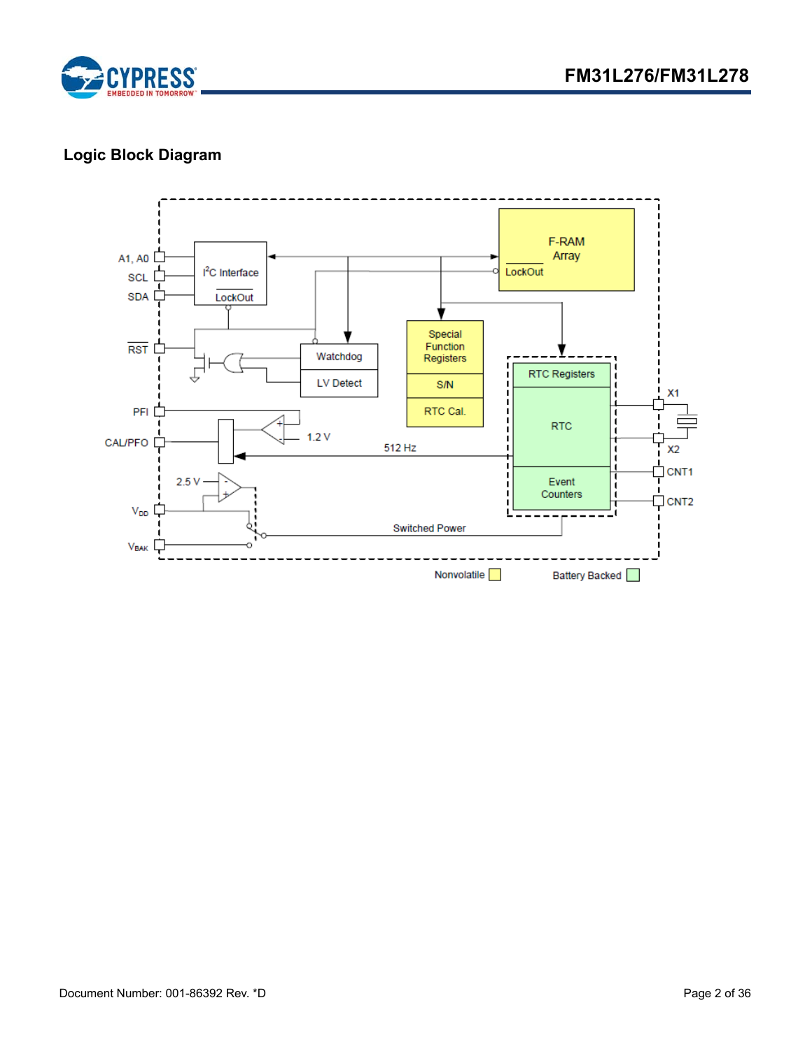

# **Logic Block Diagram**

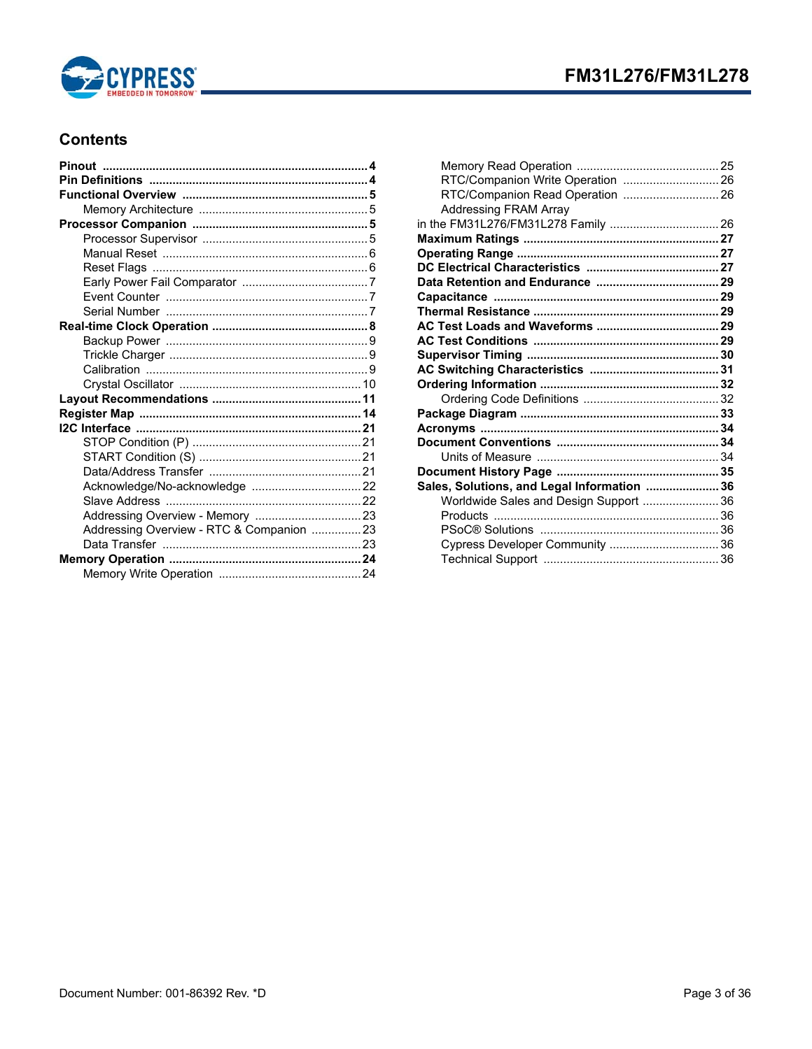

# **Contents**

| Addressing Overview - RTC & Companion 23 |  |
|------------------------------------------|--|
|                                          |  |
|                                          |  |
|                                          |  |
|                                          |  |

| RTC/Companion Write Operation  26           |  |
|---------------------------------------------|--|
| RTC/Companion Read Operation  26            |  |
| <b>Addressing FRAM Array</b>                |  |
| in the FM31L276/FM31L278 Family  26         |  |
|                                             |  |
|                                             |  |
|                                             |  |
|                                             |  |
|                                             |  |
|                                             |  |
|                                             |  |
|                                             |  |
|                                             |  |
|                                             |  |
|                                             |  |
|                                             |  |
|                                             |  |
|                                             |  |
|                                             |  |
|                                             |  |
|                                             |  |
| Sales, Solutions, and Legal Information  36 |  |
| Worldwide Sales and Design Support  36      |  |
|                                             |  |
|                                             |  |
| Cypress Developer Community  36             |  |
|                                             |  |
|                                             |  |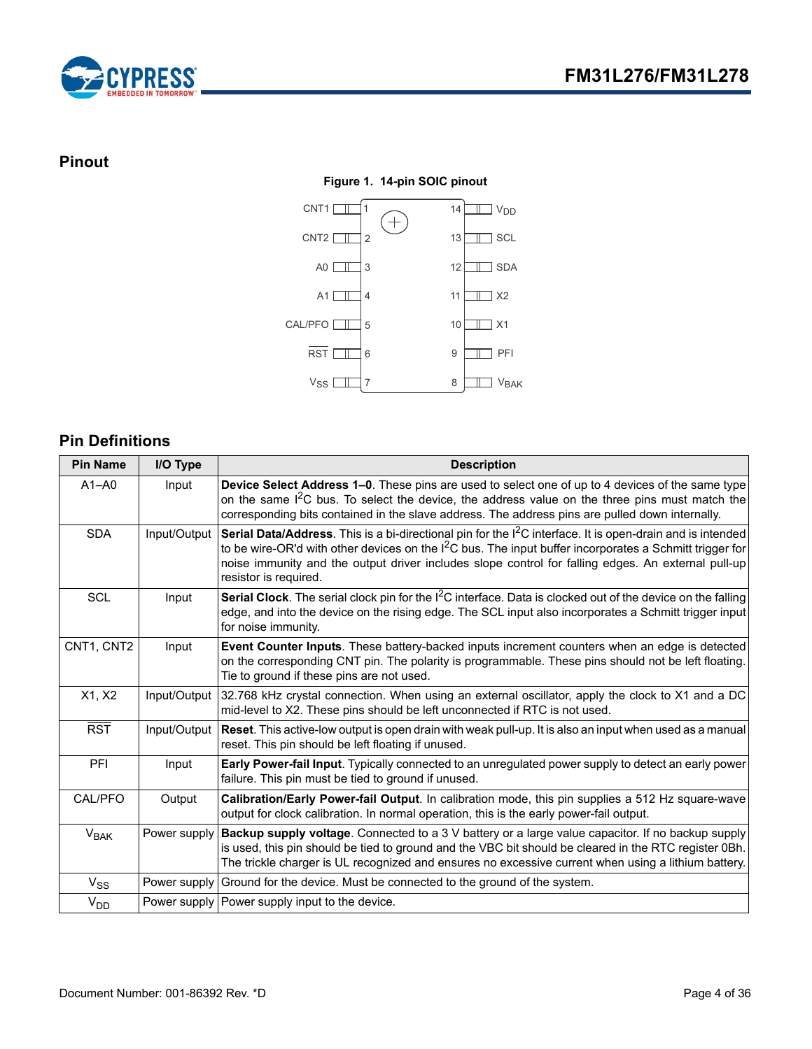



# <span id="page-3-0"></span>**Pinout**

### **Figure 1. 14-pin SOIC pinout**



# <span id="page-3-1"></span>**Pin Definitions**

| <b>Pin Name</b> | I/O Type     | <b>Description</b>                                                                                                                                                                                                                                                                                                                                                |
|-----------------|--------------|-------------------------------------------------------------------------------------------------------------------------------------------------------------------------------------------------------------------------------------------------------------------------------------------------------------------------------------------------------------------|
| $A1 - A0$       | Input        | Device Select Address 1-0. These pins are used to select one of up to 4 devices of the same type<br>on the same 1 <sup>2</sup> C bus. To select the device, the address value on the three pins must match the<br>corresponding bits contained in the slave address. The address pins are pulled down internally.                                                 |
| <b>SDA</b>      | Input/Output | Serial Data/Address. This is a bi-directional pin for the I <sup>2</sup> C interface. It is open-drain and is intended<br>to be wire-OR'd with other devices on the $12C$ bus. The input buffer incorporates a Schmitt trigger for<br>noise immunity and the output driver includes slope control for falling edges. An external pull-up<br>resistor is required. |
| <b>SCL</b>      | Input        | Serial Clock. The serial clock pin for the I <sup>2</sup> C interface. Data is clocked out of the device on the falling<br>edge, and into the device on the rising edge. The SCL input also incorporates a Schmitt trigger input<br>for noise immunity.                                                                                                           |
| CNT1, CNT2      | Input        | Event Counter Inputs. These battery-backed inputs increment counters when an edge is detected<br>on the corresponding CNT pin. The polarity is programmable. These pins should not be left floating.<br>Tie to ground if these pins are not used.                                                                                                                 |
| X1, X2          | Input/Output | 32.768 kHz crystal connection. When using an external oscillator, apply the clock to X1 and a DC<br>mid-level to X2. These pins should be left unconnected if RTC is not used.                                                                                                                                                                                    |
| <b>RST</b>      |              | Input/Output   Reset. This active-low output is open drain with weak pull-up. It is also an input when used as a manual<br>reset. This pin should be left floating if unused.                                                                                                                                                                                     |
| PFI             | Input        | Early Power-fail Input. Typically connected to an unregulated power supply to detect an early power<br>failure. This pin must be tied to ground if unused.                                                                                                                                                                                                        |
| CAL/PFO         | Output       | Calibration/Early Power-fail Output. In calibration mode, this pin supplies a 512 Hz square-wave<br>output for clock calibration. In normal operation, this is the early power-fail output.                                                                                                                                                                       |
| $V_{BAK}$       | Power supply | Backup supply voltage. Connected to a 3 V battery or a large value capacitor. If no backup supply<br>is used, this pin should be tied to ground and the VBC bit should be cleared in the RTC register 0Bh.<br>The trickle charger is UL recognized and ensures no excessive current when using a lithium battery.                                                 |
| $V_{SS}$        |              | Power supply Ground for the device. Must be connected to the ground of the system.                                                                                                                                                                                                                                                                                |
| V <sub>DD</sub> |              | Power supply Power supply input to the device.                                                                                                                                                                                                                                                                                                                    |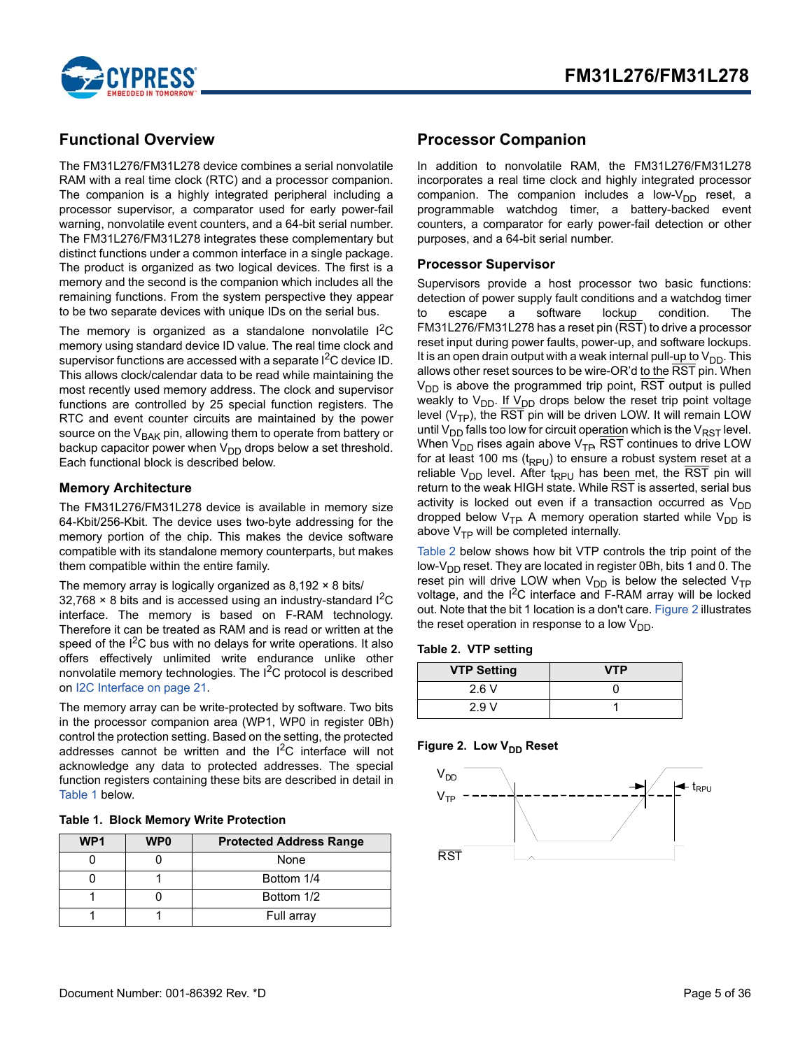

# <span id="page-4-0"></span>**Functional Overview**

The FM31L276/FM31L278 device combines a serial nonvolatile RAM with a real time clock (RTC) and a processor companion. The companion is a highly integrated peripheral including a processor supervisor, a comparator used for early power-fail warning, nonvolatile event counters, and a 64-bit serial number. The FM31L276/FM31L278 integrates these complementary but distinct functions under a common interface in a single package. The product is organized as two logical devices. The first is a memory and the second is the companion which includes all the remaining functions. From the system perspective they appear to be two separate devices with unique IDs on the serial bus.

The memory is organized as a standalone nonvolatile  $I^2C$ memory using standard device ID value. The real time clock and supervisor functions are accessed with a separate I<sup>2</sup>C device ID. This allows clock/calendar data to be read while maintaining the most recently used memory address. The clock and supervisor functions are controlled by 25 special function registers. The RTC and event counter circuits are maintained by the power source on the V<sub>BAK</sub> pin, allowing them to operate from battery or backup capacitor power when V<sub>DD</sub> drops below a set threshold. Each functional block is described below.

### <span id="page-4-1"></span>**Memory Architecture**

The FM31L276/FM31L278 device is available in memory size 64-Kbit/256-Kbit. The device uses two-byte addressing for the memory portion of the chip. This makes the device software compatible with its standalone memory counterparts, but makes them compatible within the entire family.

#### The memory array is logically organized as 8,192 × 8 bits/

 $32,768 \times 8$  bits and is accessed using an industry-standard I<sup>2</sup>C interface. The memory is based on F-RAM technology. Therefore it can be treated as RAM and is read or written at the speed of the I<sup>2</sup>C bus with no delays for write operations. It also offers effectively unlimited write endurance unlike other nonvolatile memory technologies. The  $I^2C$  protocol is described on [I2C Interface on page 21.](#page-20-0)

The memory array can be write-protected by software. Two bits in the processor companion area (WP1, WP0 in register 0Bh) control the protection setting. Based on the setting, the protected addresses cannot be written and the I<sup>2</sup>C interface will not acknowledge any data to protected addresses. The special function registers containing these bits are described in detail in [Table 1](#page-4-6) below.

<span id="page-4-6"></span>

|  | <b>Table 1. Block Memory Write Protection</b> |  |  |
|--|-----------------------------------------------|--|--|
|--|-----------------------------------------------|--|--|

| WP <sub>1</sub> | WP <sub>0</sub> | <b>Protected Address Range</b> |
|-----------------|-----------------|--------------------------------|
|                 |                 | None                           |
|                 |                 | Bottom 1/4                     |
|                 |                 | Bottom 1/2                     |
|                 |                 | Full array                     |

# <span id="page-4-2"></span>**Processor Companion**

In addition to nonvolatile RAM, the FM31L276/FM31L278 incorporates a real time clock and highly integrated processor companion. The companion includes a low- $V_{DD}$  reset, a programmable watchdog timer, a battery-backed event counters, a comparator for early power-fail detection or other purposes, and a 64-bit serial number.

### <span id="page-4-3"></span>**Processor Supervisor**

Supervisors provide a host processor two basic functions: detection of power supply fault conditions and a watchdog timer to escape a software lockup condition. The FM31L276/FM31L278 has a reset pin (RST) to drive a processor reset input during power faults, power-up, and software lockups. It is an open drain output with a weak internal pull-up to  $V_{DD}$ . This allows other reset sources to be wire-OR'd to the RST pin. When  $V_{DD}$  is above the programmed trip point,  $\overline{RST}$  output is pulled weakly to  $V_{DD}$ . If  $V_{DD}$  drops below the reset trip point voltage level ( $V<sub>TP</sub>$ ), the RST pin will be driven LOW. It will remain LOW until  $V_{DD}$  falls too low for circuit operation which is the  $V_{RST}$  level. When  $V_{DD}$  rises again above  $V_{TP}$ , RST continues to drive LOW for at least 100 ms  $(t_{RPU})$  to ensure a robust system reset at a reliable  $V_{DD}$  level. After t<sub>RPU</sub> has been met, the RST pin will return to the weak HIGH state. While RST is asserted, serial bus activity is locked out even if a transaction occurred as  $V_{DD}$ dropped below  $V_{\text{TP}}$ . A memory operation started while  $V_{\text{DD}}$  is above  $V_{TP}$  will be completed internally.

[Table 2](#page-4-4) below shows how bit VTP controls the trip point of the low-V<sub>DD</sub> reset. They are located in register 0Bh, bits 1 and 0. The reset pin will drive LOW when  $V_{DD}$  is below the selected  $V_{TP}$ voltage, and the  $I^2C$  interface and F-RAM array will be locked out. Note that the bit 1 location is a don't care. [Figure 2](#page-4-5) illustrates the reset operation in response to a low  $V_{DD}$ .

#### <span id="page-4-4"></span>**Table 2. VTP setting**

| <b>VTP Setting</b> | <b>VTP</b> |
|--------------------|------------|
| 2.6V               |            |
| 2.9V               |            |

#### <span id="page-4-5"></span>Figure 2. Low V<sub>DD</sub> Reset

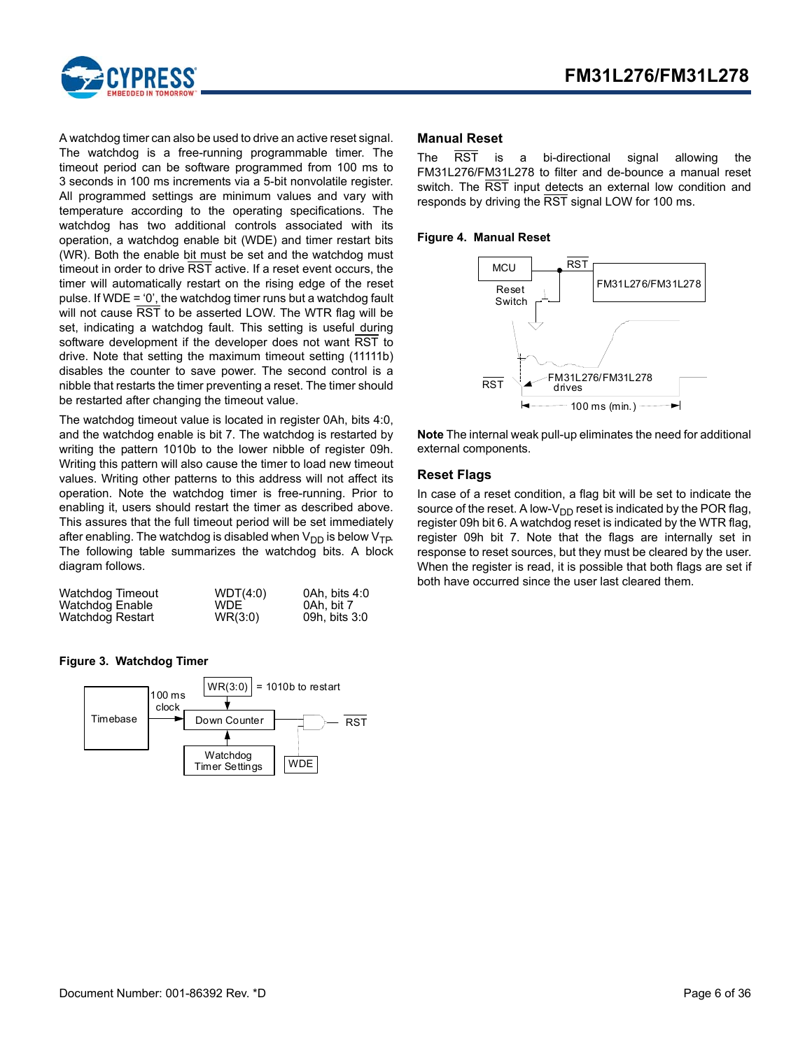

A watchdog timer can also be used to drive an active reset signal. The watchdog is a free-running programmable timer. The timeout period can be software programmed from 100 ms to 3 seconds in 100 ms increments via a 5-bit nonvolatile register. All programmed settings are minimum values and vary with temperature according to the operating specifications. The watchdog has two additional controls associated with its operation, a watchdog enable bit (WDE) and timer restart bits (WR). Both the enable bit must be set and the watchdog must timeout in order to drive RST active. If a reset event occurs, the timer will automatically restart on the rising edge of the reset pulse. If WDE = '0', the watchdog timer runs but a watchdog fault will not cause RST to be asserted LOW. The WTR flag will be set, indicating a watchdog fault. This setting is useful during software development if the developer does not want RST to drive. Note that setting the maximum timeout setting (11111b) disables the counter to save power. The second control is a nibble that restarts the timer preventing a reset. The timer should be restarted after changing the timeout value.

The watchdog timeout value is located in register 0Ah, bits 4:0, and the watchdog enable is bit 7. The watchdog is restarted by writing the pattern 1010b to the lower nibble of register 09h. Writing this pattern will also cause the timer to load new timeout values. Writing other patterns to this address will not affect its operation. Note the watchdog timer is free-running. Prior to enabling it, users should restart the timer as described above. This assures that the full timeout period will be set immediately after enabling. The watchdog is disabled when  $V_{DD}$  is below  $V_{TP}$ . The following table summarizes the watchdog bits. A block diagram follows.

| Watchdog Timeout | WDT(4:0)   | 0Ah. bits 4:0 |
|------------------|------------|---------------|
| Watchdog Enable  | <b>WDE</b> | 0Ah. bit 7    |
| Watchdog Restart | WR(3:0)    | 09h, bits 3:0 |

#### **Figure 3. Watchdog Timer**



### <span id="page-5-0"></span>**Manual Reset**

The RST is a bi-directional signal allowing the FM31L276/FM31L278 to filter and de-bounce a manual reset switch. The RST input detects an external low condition and responds by driving the RST signal LOW for 100 ms.

#### **Figure 4. Manual Reset**



**Note** The internal weak pull-up eliminates the need for additional external components.

### <span id="page-5-1"></span>**Reset Flags**

In case of a reset condition, a flag bit will be set to indicate the source of the reset. A low- $V_{DD}$  reset is indicated by the POR flag, register 09h bit 6. A watchdog reset is indicated by the WTR flag, register 09h bit 7. Note that the flags are internally set in response to reset sources, but they must be cleared by the user. When the register is read, it is possible that both flags are set if both have occurred since the user last cleared them.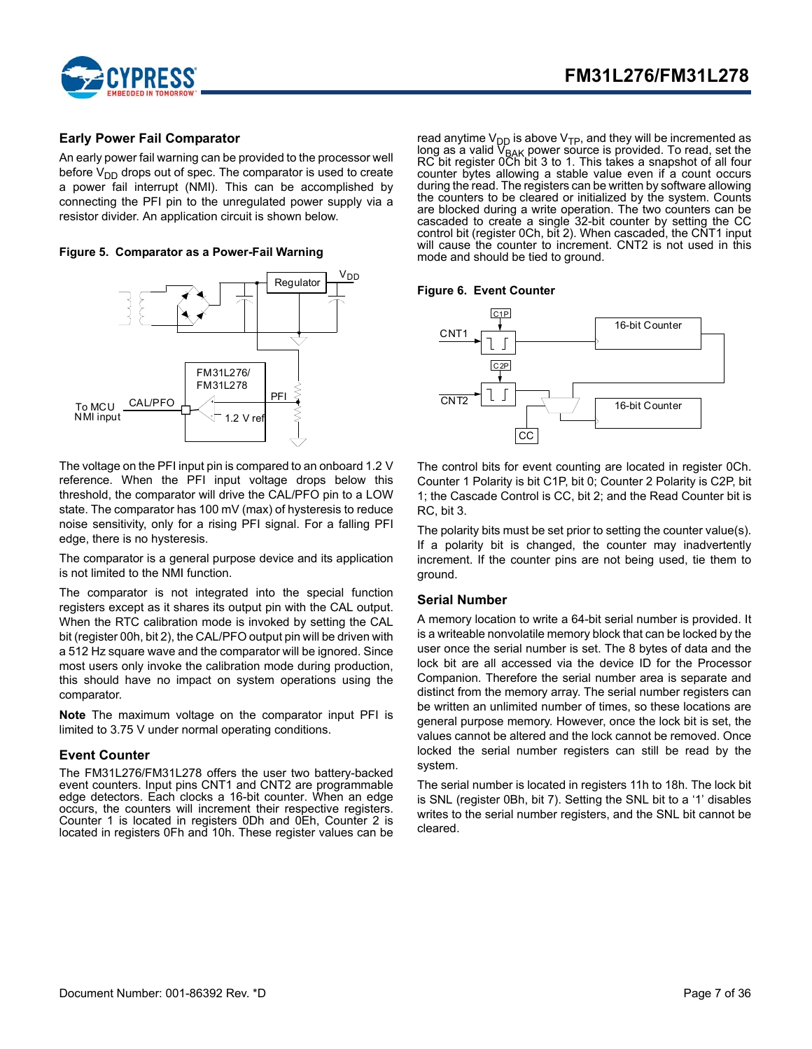

### <span id="page-6-0"></span>**Early Power Fail Comparator**

An early power fail warning can be provided to the processor well before  $V_{DD}$  drops out of spec. The comparator is used to create a power fail interrupt (NMI). This can be accomplished by connecting the PFI pin to the unregulated power supply via a resistor divider. An application circuit is shown below.

**Figure 5. Comparator as a Power-Fail Warning**



The voltage on the PFI input pin is compared to an onboard 1.2 V reference. When the PFI input voltage drops below this threshold, the comparator will drive the CAL/PFO pin to a LOW state. The comparator has 100 mV (max) of hysteresis to reduce noise sensitivity, only for a rising PFI signal. For a falling PFI edge, there is no hysteresis.

The comparator is a general purpose device and its application is not limited to the NMI function.

The comparator is not integrated into the special function registers except as it shares its output pin with the CAL output. When the RTC calibration mode is invoked by setting the CAL bit (register 00h, bit 2), the CAL/PFO output pin will be driven with a 512 Hz square wave and the comparator will be ignored. Since most users only invoke the calibration mode during production, this should have no impact on system operations using the comparator.

**Note** The maximum voltage on the comparator input PFI is limited to 3.75 V under normal operating conditions.

### <span id="page-6-1"></span>**Event Counter**

The FM31L276/FM31L278 offers the user two battery-backed event counters. Input pins CNT1 and CNT2 are programmable edge detectors. Each clocks a 16-bit counter. When an edge occurs, the counters will increment their respective registers. Counter 1 is located in registers 0Dh and 0Eh, Counter 2 is located in registers 0Fh and 10h. These register values can be

read anytime V<sub>DD</sub> is above V<sub>TP</sub>, and they will be incremented as long as a valid V<sub>BAK</sub> power source is provided. To read, set the<br>RC bit register 0Ch bit 3 to 1. This takes a snapshot of all four counter bytes allowing a stable value even if a count occurs during the read. The registers can be written by software allowing the counters to be cleared or initialized by the system. Counts are blocked during a write operation. The two counters can be cascaded to create a single 32-bit counter by setting the CC control bit (register 0Ch, bit 2). When cascaded, the CNT1 input will cause the counter to increment. CNT2 is not used in this mode and should be tied to ground.

#### **Figure 6. Event Counter**



The control bits for event counting are located in register 0Ch. Counter 1 Polarity is bit C1P, bit 0; Counter 2 Polarity is C2P, bit 1; the Cascade Control is CC, bit 2; and the Read Counter bit is RC, bit 3.

The polarity bits must be set prior to setting the counter value(s). If a polarity bit is changed, the counter may inadvertently increment. If the counter pins are not being used, tie them to ground.

### <span id="page-6-2"></span>**Serial Number**

A memory location to write a 64-bit serial number is provided. It is a writeable nonvolatile memory block that can be locked by the user once the serial number is set. The 8 bytes of data and the lock bit are all accessed via the device ID for the Processor Companion. Therefore the serial number area is separate and distinct from the memory array. The serial number registers can be written an unlimited number of times, so these locations are general purpose memory. However, once the lock bit is set, the values cannot be altered and the lock cannot be removed. Once locked the serial number registers can still be read by the system.

The serial number is located in registers 11h to 18h. The lock bit is SNL (register 0Bh, bit 7). Setting the SNL bit to a '1' disables writes to the serial number registers, and the SNL bit cannot be cleared.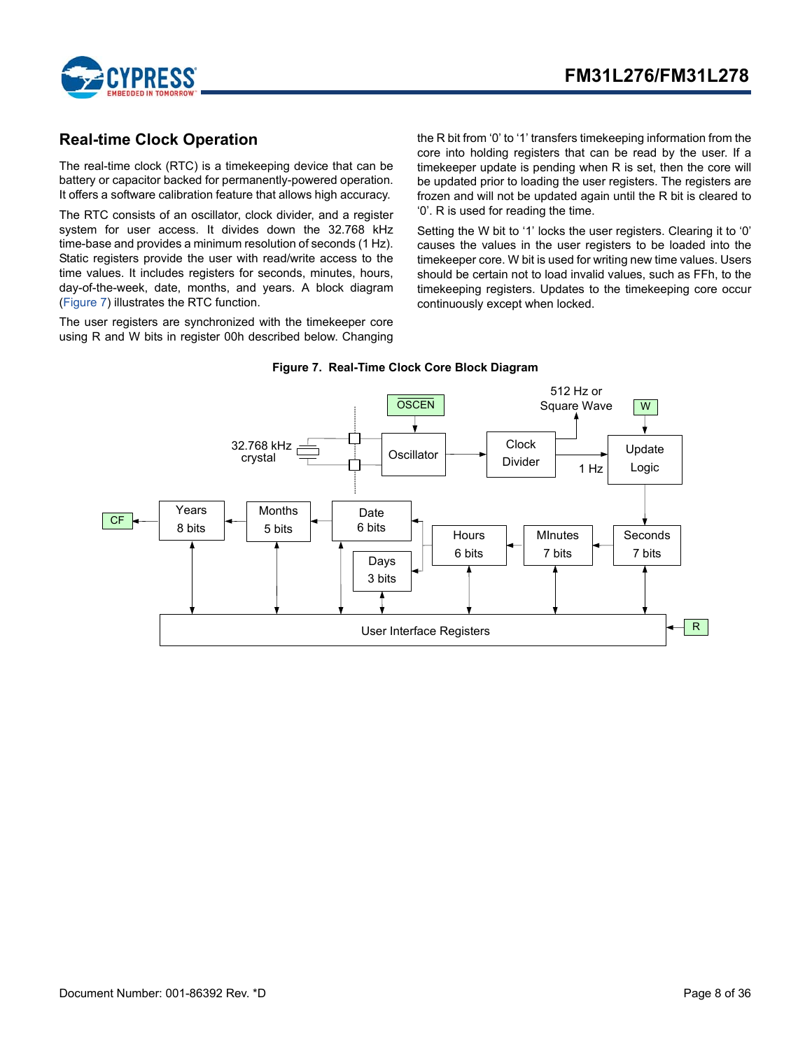

# <span id="page-7-0"></span>**Real-time Clock Operation**

The real-time clock (RTC) is a timekeeping device that can be battery or capacitor backed for permanently-powered operation. It offers a software calibration feature that allows high accuracy.

The RTC consists of an oscillator, clock divider, and a register system for user access. It divides down the 32.768 kHz time-base and provides a minimum resolution of seconds (1 Hz). Static registers provide the user with read/write access to the time values. It includes registers for seconds, minutes, hours, day-of-the-week, date, months, and years. A block diagram ([Figure 7\)](#page-7-1) illustrates the RTC function.

The user registers are synchronized with the timekeeper core using R and W bits in register 00h described below. Changing the R bit from '0' to '1' transfers timekeeping information from the core into holding registers that can be read by the user. If a timekeeper update is pending when R is set, then the core will be updated prior to loading the user registers. The registers are frozen and will not be updated again until the R bit is cleared to '0'. R is used for reading the time.

Setting the W bit to '1' locks the user registers. Clearing it to '0' causes the values in the user registers to be loaded into the timekeeper core. W bit is used for writing new time values. Users should be certain not to load invalid values, such as FFh, to the timekeeping registers. Updates to the timekeeping core occur continuously except when locked.

<span id="page-7-1"></span>

#### **Figure 7. Real-Time Clock Core Block Diagram**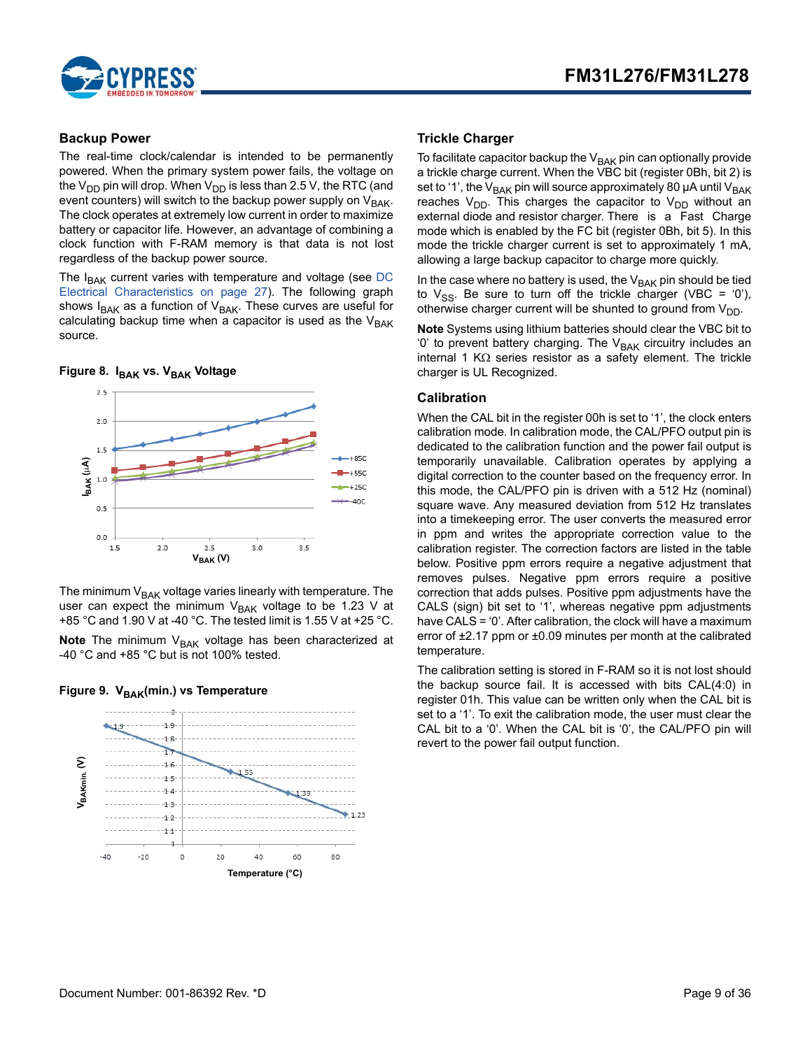

### <span id="page-8-0"></span>**Backup Power**

The real-time clock/calendar is intended to be permanently powered. When the primary system power fails, the voltage on the V<sub>DD</sub> pin will drop. When V<sub>DD</sub> is less than 2.5 V, the RTC (and event counters) will switch to the backup power supply on  $V_{BAK}$ . The clock operates at extremely low current in order to maximize battery or capacitor life. However, an advantage of combining a clock function with F-RAM memory is that data is not lost regardless of the backup power source.

The  $I_{BAK}$  current varies with temperature and voltage (see [DC](#page-26-2) [Electrical Characteristics on page 27\)](#page-26-2). The following graph shows  $I_{BAK}$  as a function of  $V_{BAK}$ . These curves are useful for calculating backup time when a capacitor is used as the  $V_{\text{BAK}}$ source.

#### Figure 8. I<sub>BAK</sub> vs. V<sub>BAK</sub> Voltage



The minimum  $V_{BAK}$  voltage varies linearly with temperature. The user can expect the minimum  $V_{BAK}$  voltage to be 1.23 V at +85 °C and 1.90 V at -40 °C. The tested limit is 1.55 V at +25 °C.

**Note** The minimum V<sub>BAK</sub> voltage has been characterized at -40 °C and +85 °C but is not 100% tested.





### <span id="page-8-1"></span>**Trickle Charger**

To facilitate capacitor backup the  $V_{\text{BAK}}$  pin can optionally provide a trickle charge current. When the VBC bit (register 0Bh, bit 2) is set to '1', the  $V_{BAK}$  pin will source approximately 80 µA until  $V_{BAK}$ reaches  $V_{DD}$ . This charges the capacitor to  $V_{DD}$  without an external diode and resistor charger. There is a Fast Charge mode which is enabled by the FC bit (register 0Bh, bit 5). In this mode the trickle charger current is set to approximately 1 mA, allowing a large backup capacitor to charge more quickly.

In the case where no battery is used, the  $V_{\text{BAK}}$  pin should be tied to  $V_{SS}$ . Be sure to turn off the trickle charger (VBC = '0'), otherwise charger current will be shunted to ground from  $V_{DD}$ .

**Note** Systems using lithium batteries should clear the VBC bit to '0' to prevent battery charging. The V<sub>BAK</sub> circuitry includes an internal 1 K $\Omega$  series resistor as a safety element. The trickle charger is UL Recognized.

#### <span id="page-8-2"></span>**Calibration**

When the CAL bit in the register 00h is set to '1', the clock enters calibration mode. In calibration mode, the CAL/PFO output pin is dedicated to the calibration function and the power fail output is temporarily unavailable. Calibration operates by applying a digital correction to the counter based on the frequency error. In this mode, the CAL/PFO pin is driven with a 512 Hz (nominal) square wave. Any measured deviation from 512 Hz translates into a timekeeping error. The user converts the measured error in ppm and writes the appropriate correction value to the calibration register. The correction factors are listed in the table below. Positive ppm errors require a negative adjustment that removes pulses. Negative ppm errors require a positive correction that adds pulses. Positive ppm adjustments have the CALS (sign) bit set to '1', whereas negative ppm adjustments have CALS = '0'. After calibration, the clock will have a maximum error of ±2.17 ppm or ±0.09 minutes per month at the calibrated temperature.

The calibration setting is stored in F-RAM so it is not lost should the backup source fail. It is accessed with bits CAL(4:0) in register 01h. This value can be written only when the CAL bit is set to a '1'. To exit the calibration mode, the user must clear the CAL bit to a '0'. When the CAL bit is '0', the CAL/PFO pin will revert to the power fail output function.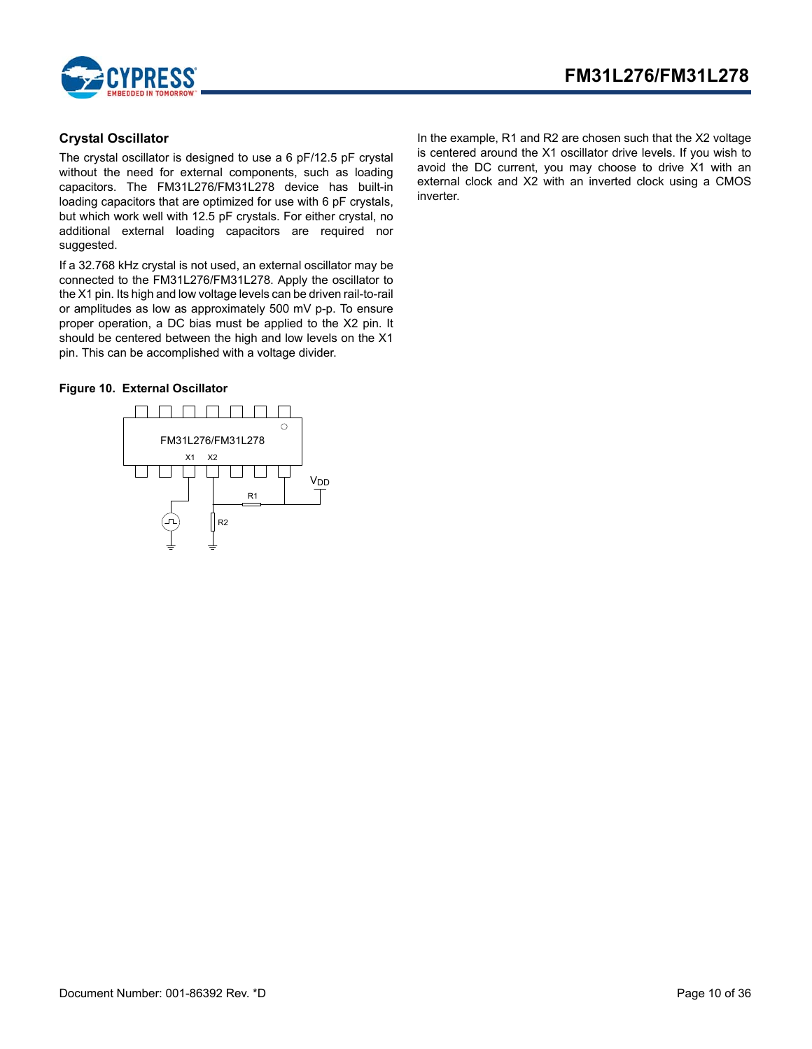



### <span id="page-9-0"></span>**Crystal Oscillator**

The crystal oscillator is designed to use a 6 pF/12.5 pF crystal without the need for external components, such as loading capacitors. The FM31L276/FM31L278 device has built-in loading capacitors that are optimized for use with 6 pF crystals, but which work well with 12.5 pF crystals. For either crystal, no additional external loading capacitors are required nor suggested.

If a 32.768 kHz crystal is not used, an external oscillator may be connected to the FM31L276/FM31L278. Apply the oscillator to the X1 pin. Its high and low voltage levels can be driven rail-to-rail or amplitudes as low as approximately 500 mV p-p. To ensure proper operation, a DC bias must be applied to the X2 pin. It should be centered between the high and low levels on the X1 pin. This can be accomplished with a voltage divider.

### **Figure 10. External Oscillator**



In the example, R1 and R2 are chosen such that the X2 voltage is centered around the X1 oscillator drive levels. If you wish to avoid the DC current, you may choose to drive X1 with an external clock and X2 with an inverted clock using a CMOS inverter.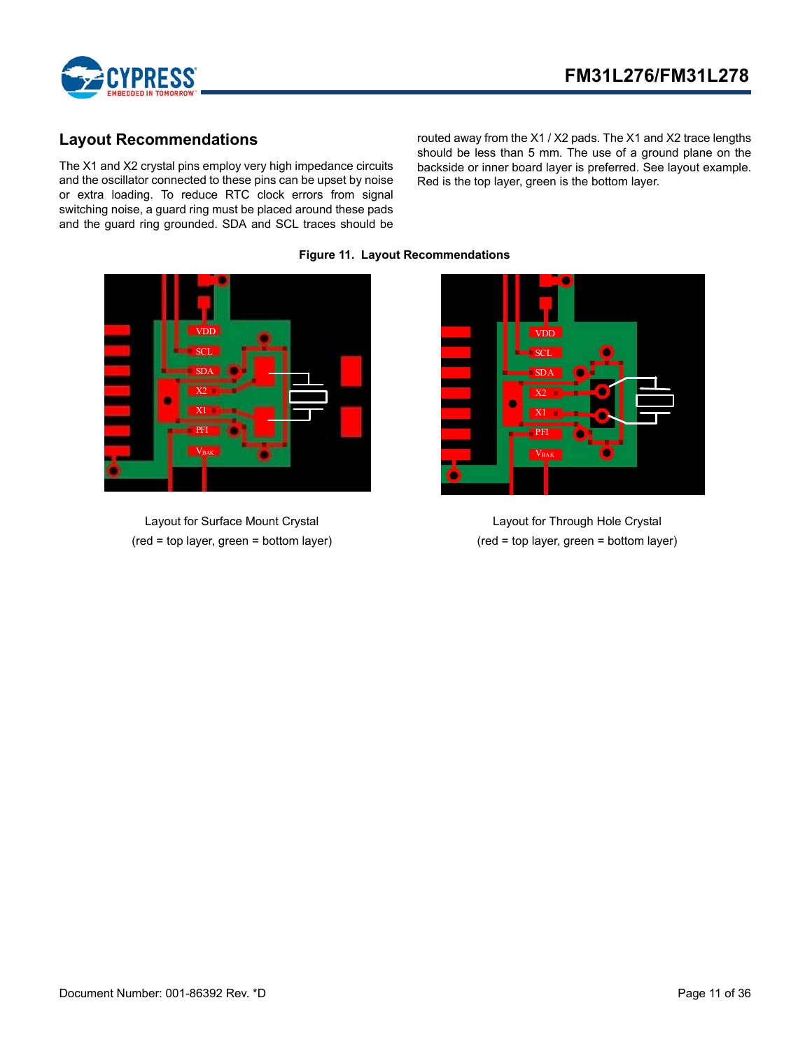

# <span id="page-10-0"></span>**Layout Recommendations**

The X1 and X2 crystal pins employ very high impedance circuits and the oscillator connected to these pins can be upset by noise or extra loading. To reduce RTC clock errors from signal switching noise, a guard ring must be placed around these pads and the guard ring grounded. SDA and SCL traces should be

routed away from the X1 / X2 pads. The X1 and X2 trace lengths should be less than 5 mm. The use of a ground plane on the backside or inner board layer is preferred. See layout example. Red is the top layer, green is the bottom layer.



Layout for Surface Mount Crystal (red = top layer, green = bottom layer)

**Figure 11. Layout Recommendations**



Layout for Through Hole Crystal (red = top layer, green = bottom layer)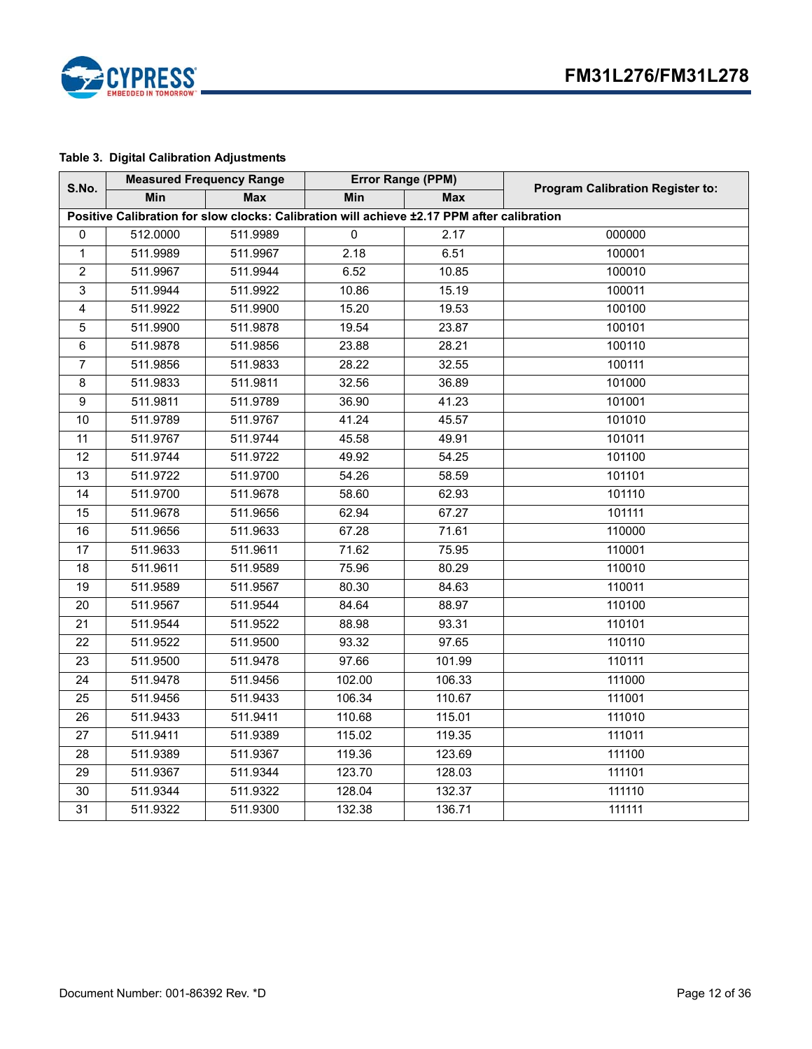

# **Table 3. Digital Calibration Adjustments**

| S.No.                                                                                      |            | <b>Measured Frequency Range</b> | Error Range (PPM) |                   | <b>Program Calibration Register to:</b> |  |  |  |
|--------------------------------------------------------------------------------------------|------------|---------------------------------|-------------------|-------------------|-----------------------------------------|--|--|--|
|                                                                                            | <b>Min</b> | <b>Max</b>                      | <b>Min</b>        | <b>Max</b>        |                                         |  |  |  |
| Positive Calibration for slow clocks: Calibration will achieve ±2.17 PPM after calibration |            |                                 |                   |                   |                                         |  |  |  |
| $\Omega$                                                                                   | 512.0000   | 511.9989                        | $\mathbf{0}$      | 2.17              | 000000                                  |  |  |  |
| $\mathbf{1}$                                                                               | 511.9989   | 511.9967                        | 2.18              | 6.51              | 100001                                  |  |  |  |
| $\overline{2}$                                                                             | 511.9967   | 511.9944                        | 6.52              | 10.85             | 100010                                  |  |  |  |
| 3                                                                                          | 511.9944   | 511.9922                        | 10.86             | 15.19             | 100011                                  |  |  |  |
| 4                                                                                          | 511.9922   | 511.9900                        | 15.20             | 19.53             | 100100                                  |  |  |  |
| $\mathbf 5$                                                                                | 511.9900   | 511.9878                        | 19.54             | 23.87             | 100101                                  |  |  |  |
| $\,6\,$                                                                                    | 511.9878   | 511.9856                        | 23.88             | 28.21             | 100110                                  |  |  |  |
| $\overline{7}$                                                                             | 511.9856   | 511.9833                        | 28.22             | 32.55             | 100111                                  |  |  |  |
| $\,8\,$                                                                                    | 511.9833   | 511.9811                        | 32.56             | 36.89             | 101000                                  |  |  |  |
| $\overline{9}$                                                                             | 511.9811   | 511.9789                        | 36.90             | 41.23             | 101001                                  |  |  |  |
| 10                                                                                         | 511.9789   | 511.9767                        | 41.24             | 45.57             | 101010                                  |  |  |  |
| $\overline{11}$                                                                            | 511.9767   | 511.9744                        | 45.58             | $\frac{49.91}{9}$ | 101011                                  |  |  |  |
| 12                                                                                         | 511.9744   | 511.9722                        | 49.92             | 54.25             | 101100                                  |  |  |  |
| 13                                                                                         | 511.9722   | 511.9700                        | 54.26             | 58.59             | 101101                                  |  |  |  |
| 14                                                                                         | 511.9700   | 511.9678                        | 58.60             | 62.93             | 101110                                  |  |  |  |
| 15                                                                                         | 511.9678   | 511.9656                        | 62.94             | 67.27             | 101111                                  |  |  |  |
| 16                                                                                         | 511.9656   | 511.9633                        | 67.28             | 71.61             | 110000                                  |  |  |  |
| $\overline{17}$                                                                            | 511.9633   | 511.9611                        | 71.62             | 75.95             | 110001                                  |  |  |  |
| 18                                                                                         | 511.9611   | 511.9589                        | 75.96             | 80.29             | 110010                                  |  |  |  |
| $\overline{19}$                                                                            | 511.9589   | 511.9567                        | 80.30             | 84.63             | 110011                                  |  |  |  |
| 20                                                                                         | 511.9567   | 511.9544                        | 84.64             | 88.97             | 110100                                  |  |  |  |
| 21                                                                                         | 511.9544   | 511.9522                        | 88.98             | 93.31             | 110101                                  |  |  |  |
| 22                                                                                         | 511.9522   | 511.9500                        | 93.32             | 97.65             | 110110                                  |  |  |  |
| 23                                                                                         | 511.9500   | 511.9478                        | 97.66             | 101.99            | 110111                                  |  |  |  |
| 24                                                                                         | 511.9478   | 511.9456                        | 102.00            | 106.33            | 111000                                  |  |  |  |
| 25                                                                                         | 511.9456   | 511.9433                        | 106.34            | 110.67            | 111001                                  |  |  |  |
| 26                                                                                         | 511.9433   | 511.9411                        | 110.68            | 115.01            | 111010                                  |  |  |  |
| 27                                                                                         | 511.9411   | 511.9389                        | 115.02            | 119.35            | 111011                                  |  |  |  |
| 28                                                                                         | 511.9389   | 511.9367                        | 119.36            | 123.69            | 111100                                  |  |  |  |
| $\overline{29}$                                                                            | 511.9367   | 511.9344                        | 123.70            | 128.03            | 111101                                  |  |  |  |
| 30                                                                                         | 511.9344   | 511.9322                        | 128.04            | 132.37            | 111110                                  |  |  |  |
| 31                                                                                         | 511.9322   | 511.9300                        | 132.38            | 136.71            | 111111                                  |  |  |  |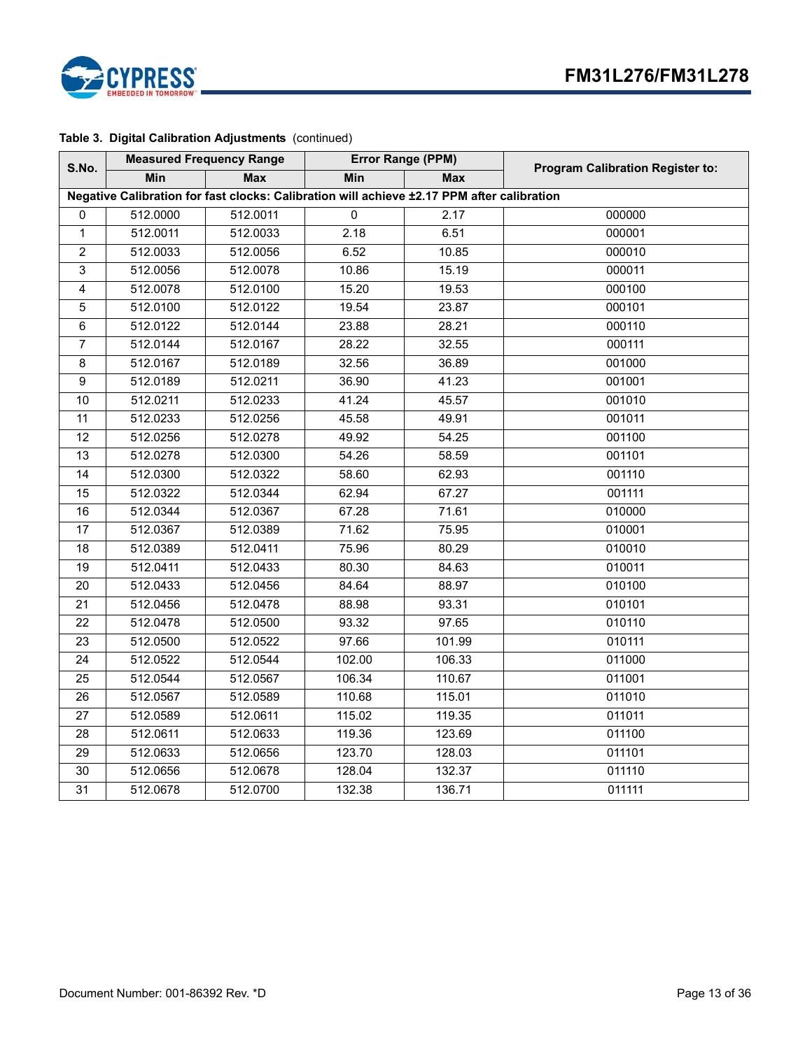

### **Table 3. Digital Calibration Adjustments** (continued)

| S.No.                                                                                      |            | <b>Measured Frequency Range</b> | Error Range (PPM) |            | <b>Program Calibration Register to:</b> |  |  |  |
|--------------------------------------------------------------------------------------------|------------|---------------------------------|-------------------|------------|-----------------------------------------|--|--|--|
|                                                                                            | <b>Min</b> | <b>Max</b>                      | <b>Min</b>        | <b>Max</b> |                                         |  |  |  |
| Negative Calibration for fast clocks: Calibration will achieve ±2.17 PPM after calibration |            |                                 |                   |            |                                         |  |  |  |
| $\Omega$                                                                                   | 512.0000   | 512.0011                        | $\overline{0}$    | 2.17       | 000000                                  |  |  |  |
| $\mathbf{1}$                                                                               | 512.0011   | 512.0033                        | 2.18              | 6.51       | 000001                                  |  |  |  |
| $\overline{2}$                                                                             | 512.0033   | 512.0056                        | 6.52              | 10.85      | 000010                                  |  |  |  |
| 3                                                                                          | 512.0056   | 512.0078                        | 10.86             | 15.19      | 000011                                  |  |  |  |
| $\overline{4}$                                                                             | 512.0078   | 512.0100                        | 15.20             | 19.53      | 000100                                  |  |  |  |
| $\mathbf 5$                                                                                | 512.0100   | 512.0122                        | 19.54             | 23.87      | 000101                                  |  |  |  |
| 6                                                                                          | 512.0122   | 512.0144                        | 23.88             | 28.21      | 000110                                  |  |  |  |
| 7                                                                                          | 512.0144   | 512.0167                        | 28.22             | 32.55      | 000111                                  |  |  |  |
| 8                                                                                          | 512.0167   | 512.0189                        | 32.56             | 36.89      | 001000                                  |  |  |  |
| 9                                                                                          | 512.0189   | 512.0211                        | 36.90             | 41.23      | 001001                                  |  |  |  |
| 10                                                                                         | 512.0211   | 512.0233                        | 41.24             | 45.57      | 001010                                  |  |  |  |
| 11                                                                                         | 512.0233   | 512.0256                        | 45.58             | 49.91      | 001011                                  |  |  |  |
| 12                                                                                         | 512.0256   | 512.0278                        | 49.92             | 54.25      | 001100                                  |  |  |  |
| 13                                                                                         | 512.0278   | 512.0300                        | 54.26             | 58.59      | 001101                                  |  |  |  |
| 14                                                                                         | 512.0300   | 512.0322                        | 58.60             | 62.93      | 001110                                  |  |  |  |
| 15                                                                                         | 512.0322   | 512.0344                        | 62.94             | 67.27      | 001111                                  |  |  |  |
| 16                                                                                         | 512.0344   | 512.0367                        | 67.28             | 71.61      | 010000                                  |  |  |  |
| 17                                                                                         | 512.0367   | 512.0389                        | 71.62             | 75.95      | 010001                                  |  |  |  |
| 18                                                                                         | 512.0389   | 512.0411                        | 75.96             | 80.29      | 010010                                  |  |  |  |
| 19                                                                                         | 512.0411   | 512.0433                        | 80.30             | 84.63      | 010011                                  |  |  |  |
| 20                                                                                         | 512.0433   | 512.0456                        | 84.64             | 88.97      | 010100                                  |  |  |  |
| 21                                                                                         | 512.0456   | 512.0478                        | 88.98             | 93.31      | 010101                                  |  |  |  |
| 22                                                                                         | 512.0478   | 512.0500                        | 93.32             | 97.65      | 010110                                  |  |  |  |
| $\overline{23}$                                                                            | 512.0500   | 512.0522                        | 97.66             | 101.99     | 010111                                  |  |  |  |
| 24                                                                                         | 512.0522   | 512.0544                        | 102.00            | 106.33     | 011000                                  |  |  |  |
| 25                                                                                         | 512.0544   | 512.0567                        | 106.34            | 110.67     | 011001                                  |  |  |  |
| $\overline{26}$                                                                            | 512.0567   | 512.0589                        | 110.68            | 115.01     | 011010                                  |  |  |  |
| $\overline{27}$                                                                            | 512.0589   | 512.0611                        | 115.02            | 119.35     | 011011                                  |  |  |  |
| 28                                                                                         | 512.0611   | 512.0633                        | 119.36            | 123.69     | 011100                                  |  |  |  |
| 29                                                                                         | 512.0633   | 512.0656                        | 123.70            | 128.03     | 011101                                  |  |  |  |
| 30                                                                                         | 512.0656   | 512.0678                        | 128.04            | 132.37     | 011110                                  |  |  |  |
| $\overline{31}$                                                                            | 512.0678   | 512.0700                        | 132.38            | 136.71     | 011111                                  |  |  |  |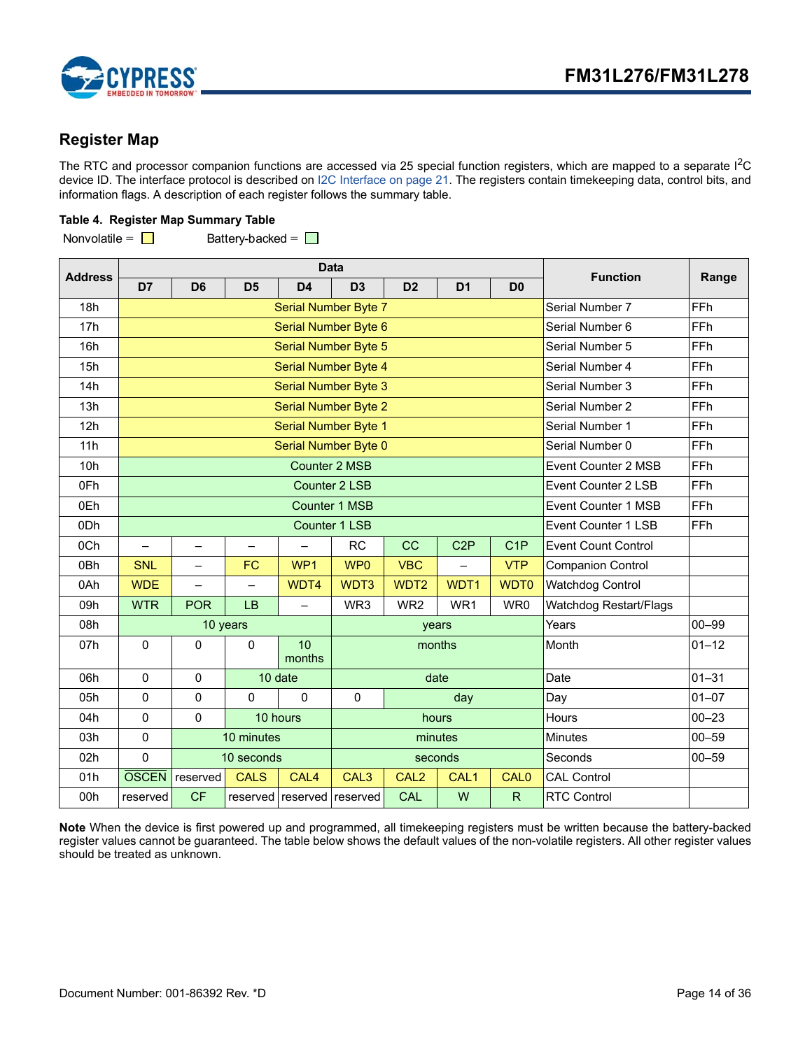

# <span id="page-13-0"></span>**Register Map**

The RTC and processor companion functions are accessed via 25 special function registers, which are mapped to a separate  $I^2C$ device ID. The interface protocol is described on [I2C Interface on page 21.](#page-20-0) The registers contain timekeeping data, control bits, and information flags. A description of each register follows the summary table.

### **Table 4. Register Map Summary Table**

Nonvolatile =  $\Box$  Battery-backed =  $\Box$ 

| <b>Address</b>  | <b>Data</b>                                        |                          |                          |                            |                             |                  |                  | <b>Function</b>            | Range                      |            |
|-----------------|----------------------------------------------------|--------------------------|--------------------------|----------------------------|-----------------------------|------------------|------------------|----------------------------|----------------------------|------------|
|                 | D7                                                 | D <sub>6</sub>           | D <sub>5</sub>           | D <sub>4</sub>             | D <sub>3</sub>              | D <sub>2</sub>   | D <sub>1</sub>   | D <sub>0</sub>             |                            |            |
| 18h             |                                                    | Serial Number Byte 7     |                          |                            |                             |                  |                  |                            | Serial Number 7            | FFh        |
| 17h             |                                                    |                          |                          |                            | Serial Number Byte 6        |                  |                  |                            | Serial Number 6            | FFh        |
| 16h             |                                                    |                          |                          |                            | <b>Serial Number Byte 5</b> |                  |                  |                            | Serial Number 5            | FFh        |
| 15h             |                                                    |                          |                          |                            | <b>Serial Number Byte 4</b> |                  |                  |                            | Serial Number 4            | FFh        |
| 14h             |                                                    |                          |                          |                            | <b>Serial Number Byte 3</b> |                  |                  |                            | Serial Number 3            | FFh        |
| 13h             |                                                    |                          |                          |                            | <b>Serial Number Byte 2</b> |                  |                  |                            | Serial Number 2            | FFh        |
| 12h             |                                                    |                          |                          |                            | <b>Serial Number Byte 1</b> |                  |                  |                            | Serial Number 1            | FFh        |
| 11h             |                                                    |                          |                          |                            | Serial Number Byte 0        |                  |                  |                            | Serial Number 0            | FFh        |
| 10h             |                                                    |                          |                          |                            | <b>Counter 2 MSB</b>        |                  |                  |                            | <b>Event Counter 2 MSB</b> | FFh        |
| 0Fh             | FFh<br><b>Counter 2 LSB</b><br>Event Counter 2 LSB |                          |                          |                            |                             |                  |                  |                            |                            |            |
| 0Eh             | <b>Counter 1 MSB</b>                               |                          |                          |                            |                             |                  |                  | <b>Event Counter 1 MSB</b> | FFh                        |            |
| 0 <sub>Dh</sub> |                                                    |                          |                          |                            | <b>Counter 1 LSB</b>        |                  |                  |                            | Event Counter 1 LSB        | <b>FFh</b> |
| 0Ch             |                                                    | $\overline{\phantom{0}}$ | $\overline{\phantom{0}}$ |                            | <b>RC</b>                   | CC               | C <sub>2</sub> P | C <sub>1</sub> P           | <b>Event Count Control</b> |            |
| 0Bh             | <b>SNL</b>                                         | $\overline{\phantom{0}}$ | <b>FC</b>                | WP1                        | WP <sub>0</sub>             | <b>VBC</b>       |                  | <b>VTP</b>                 | <b>Companion Control</b>   |            |
| 0Ah             | <b>WDE</b>                                         | $\overline{\phantom{0}}$ | $\overline{\phantom{0}}$ | WDT4                       | WDT3                        | WDT <sub>2</sub> | WDT1             | <b>WDT0</b>                | <b>Watchdog Control</b>    |            |
| 09h             | <b>WTR</b>                                         | <b>POR</b>               | LB                       | $\overline{\phantom{0}}$   | WR3                         | WR <sub>2</sub>  | WR1              | WR0                        | Watchdog Restart/Flags     |            |
| 08h             |                                                    | 10 years                 |                          |                            |                             |                  | years            |                            | Years                      | $00 - 99$  |
| 07h             | $\Omega$                                           | 0                        | $\Omega$                 | 10<br>months               |                             |                  | months           |                            | Month                      | $01 - 12$  |
| 06h             | $\mathbf 0$                                        | 0                        |                          | 10 date                    |                             |                  | date             |                            | Date                       | $01 - 31$  |
| 05h             | $\mathbf 0$                                        | $\overline{0}$           | $\Omega$                 | $\Omega$                   | $\mathbf{0}$<br>day         |                  |                  |                            | Day                        | $01 - 07$  |
| 04h             | $\Omega$                                           | 0                        |                          | 10 hours                   | hours                       |                  |                  |                            | Hours                      | $00 - 23$  |
| 03h             | $\mathbf 0$                                        |                          | 10 minutes               |                            | minutes                     |                  |                  |                            | <b>Minutes</b>             | $00 - 59$  |
| 02h             | $\mathbf 0$                                        |                          | 10 seconds               |                            |                             |                  | seconds          |                            | Seconds                    | $00 - 59$  |
| 01h             | <b>OSCEN</b>                                       | reserved                 | <b>CALS</b>              | CAL4                       | CAL <sub>3</sub>            | CAL <sub>2</sub> | CAL1             | <b>CAL0</b>                | <b>CAL Control</b>         |            |
| 00h             | reserved                                           | <b>CF</b>                |                          | reserved reserved reserved |                             | <b>CAL</b>       | W                | $\mathsf{R}$               | <b>RTC Control</b>         |            |

**Note** When the device is first powered up and programmed, all timekeeping registers must be written because the battery-backed register values cannot be guaranteed. The table below shows the default values of the non-volatile registers. All other register values should be treated as unknown.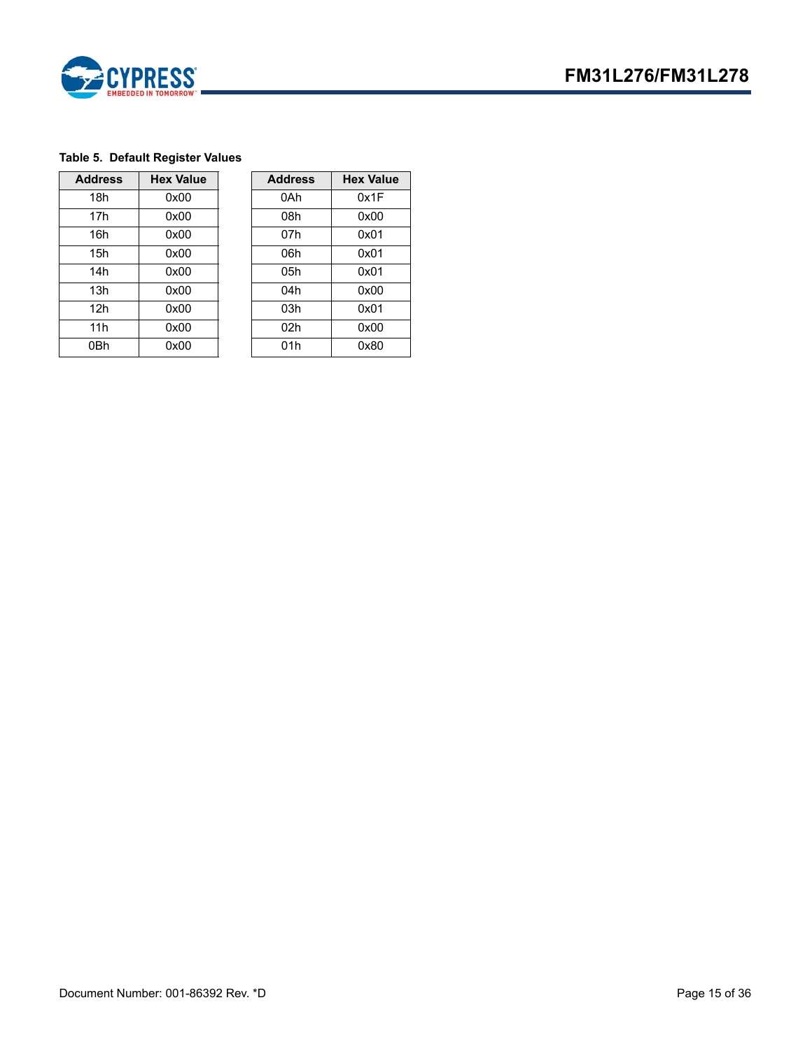

### **Table 5. Default Register Values**

| <b>Address</b>  | <b>Hex Value</b> | <b>Address</b>  | <b>Hex Value</b> |
|-----------------|------------------|-----------------|------------------|
| 18h             | 0x00             | 0Ah             | 0x1F             |
| 17 <sub>h</sub> | 0x00             | 08h             | 0x00             |
| 16h             | 0x00             | 07h             | 0x01             |
| 15h             | 0x00             | 06h             | 0x01             |
| 14h             | 0x00             | 05h             | 0x01             |
| 13h             | 0x00             | 04h             | 0x00             |
| 12h             | 0x00             | 03h             | 0x01             |
| 11h             | 0x00             | 02 <sub>h</sub> | 0x00             |
| 0Bh             | 0x00             | 01h             | 0x80             |

| <b>Value</b> | <b>Address</b> | <b>Hex Value</b> |
|--------------|----------------|------------------|
| <b>x00</b>   | 0Ah            | 0x1F             |
| x00          | 08h            | 0x00             |
| x00          | 07h            | 0x01             |
| <b>x00</b>   | 06h            | 0x01             |
| <b>x00</b>   | 05h            | 0x01             |
| <b>x00</b>   | 04h            | 0x00             |
| <b>x00</b>   | 03h            | 0x01             |
| <b>x00</b>   | 02h            | 0x00             |
| x00          | 01h            | 0x80             |
|              |                |                  |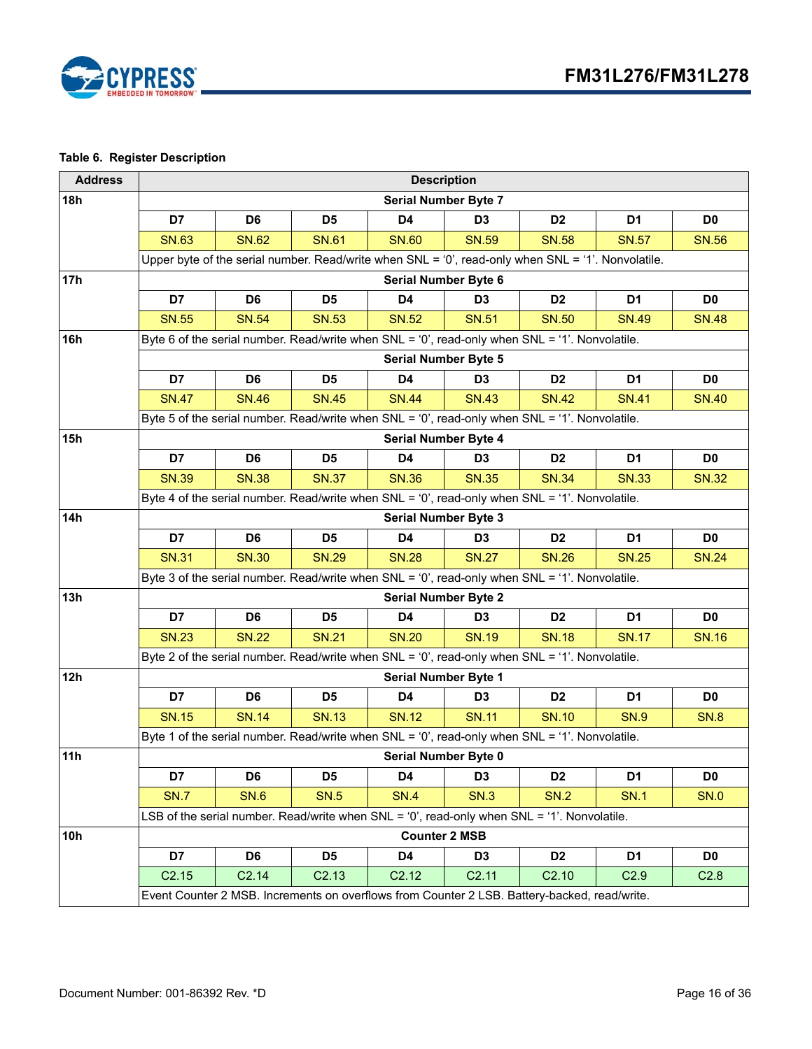

# <span id="page-15-0"></span>**Table 6. Register Description**

| <b>Address</b> |                             |                                                                                                          |                   | <b>Description</b>          |                |                   |                |                |  |  |
|----------------|-----------------------------|----------------------------------------------------------------------------------------------------------|-------------------|-----------------------------|----------------|-------------------|----------------|----------------|--|--|
| 18h            |                             |                                                                                                          |                   | <b>Serial Number Byte 7</b> |                |                   |                |                |  |  |
|                | D7                          | D <sub>6</sub>                                                                                           | D <sub>5</sub>    | D4                          | D <sub>3</sub> | D <sub>2</sub>    | D <sub>1</sub> | D <sub>0</sub> |  |  |
|                | <b>SN.63</b>                | <b>SN.62</b>                                                                                             | <b>SN.61</b>      | <b>SN.60</b>                | <b>SN.59</b>   | <b>SN.58</b>      | <b>SN.57</b>   | <b>SN.56</b>   |  |  |
|                |                             | Upper byte of the serial number. Read/write when $SNL = '0'$ , read-only when $SNL = '1'$ . Nonvolatile. |                   |                             |                |                   |                |                |  |  |
| 17h            |                             |                                                                                                          |                   | Serial Number Byte 6        |                |                   |                |                |  |  |
|                | D7                          | D <sub>6</sub>                                                                                           | D <sub>5</sub>    | D <sub>4</sub>              | D <sub>3</sub> | D <sub>2</sub>    | D <sub>1</sub> | D <sub>0</sub> |  |  |
|                | <b>SN.55</b>                | <b>SN.54</b>                                                                                             | <b>SN.53</b>      | <b>SN.52</b>                | <b>SN.51</b>   | <b>SN.50</b>      | <b>SN.49</b>   | <b>SN.48</b>   |  |  |
| 16h            |                             | Byte 6 of the serial number. Read/write when SNL = '0', read-only when SNL = '1'. Nonvolatile.           |                   |                             |                |                   |                |                |  |  |
|                | <b>Serial Number Byte 5</b> |                                                                                                          |                   |                             |                |                   |                |                |  |  |
|                | D7                          | D <sub>6</sub>                                                                                           | D <sub>5</sub>    | D4                          | D <sub>3</sub> | D <sub>2</sub>    | D <sub>1</sub> | D <sub>0</sub> |  |  |
|                | <b>SN.47</b>                | <b>SN.46</b>                                                                                             | <b>SN.45</b>      | <b>SN.44</b>                | <b>SN.43</b>   | <b>SN.42</b>      | <b>SN.41</b>   | <b>SN.40</b>   |  |  |
|                |                             | Byte 5 of the serial number. Read/write when SNL = '0', read-only when SNL = '1'. Nonvolatile.           |                   |                             |                |                   |                |                |  |  |
| 15h            |                             |                                                                                                          |                   | <b>Serial Number Byte 4</b> |                |                   |                |                |  |  |
|                | D7                          | D <sub>6</sub>                                                                                           | D <sub>5</sub>    | D4                          | D <sub>3</sub> | D <sub>2</sub>    | D <sub>1</sub> | D <sub>0</sub> |  |  |
|                | <b>SN.39</b>                | <b>SN.38</b>                                                                                             | <b>SN.37</b>      | <b>SN.36</b>                | <b>SN.35</b>   | <b>SN.34</b>      | <b>SN.33</b>   | <b>SN.32</b>   |  |  |
|                |                             | Byte 4 of the serial number. Read/write when SNL = '0', read-only when SNL = '1'. Nonvolatile.           |                   |                             |                |                   |                |                |  |  |
| 14h            | <b>Serial Number Byte 3</b> |                                                                                                          |                   |                             |                |                   |                |                |  |  |
|                | D7                          | D <sub>6</sub>                                                                                           | D <sub>5</sub>    | D4                          | D <sub>3</sub> | D <sub>2</sub>    | D <sub>1</sub> | D <sub>0</sub> |  |  |
|                | <b>SN.31</b>                | <b>SN.30</b>                                                                                             | <b>SN.29</b>      | <b>SN.28</b>                | <b>SN.27</b>   | <b>SN.26</b>      | <b>SN.25</b>   | <b>SN.24</b>   |  |  |
|                |                             | Byte 3 of the serial number. Read/write when SNL = '0', read-only when SNL = '1'. Nonvolatile.           |                   |                             |                |                   |                |                |  |  |
| 13h            | <b>Serial Number Byte 2</b> |                                                                                                          |                   |                             |                |                   |                |                |  |  |
|                | D7                          | D <sub>6</sub>                                                                                           | D <sub>5</sub>    | D4                          | D <sub>3</sub> | D <sub>2</sub>    | D <sub>1</sub> | D <sub>0</sub> |  |  |
|                | <b>SN.23</b>                | <b>SN.22</b>                                                                                             | <b>SN.21</b>      | <b>SN.20</b>                | <b>SN.19</b>   | <b>SN.18</b>      | <b>SN.17</b>   | <b>SN.16</b>   |  |  |
|                |                             | Byte 2 of the serial number. Read/write when SNL = '0', read-only when SNL = '1'. Nonvolatile.           |                   |                             |                |                   |                |                |  |  |
| 12h            |                             |                                                                                                          |                   | Serial Number Byte 1        |                |                   |                |                |  |  |
|                | D7                          | D <sub>6</sub>                                                                                           | D <sub>5</sub>    | D <sub>4</sub>              | D <sub>3</sub> | D <sub>2</sub>    | D <sub>1</sub> | D0             |  |  |
|                | <b>SN.15</b>                | <b>SN.14</b>                                                                                             | <b>SN.13</b>      | <b>SN.12</b>                | <b>SN.11</b>   | <b>SN.10</b>      | <b>SN.9</b>    | <b>SN.8</b>    |  |  |
|                |                             | Byte 1 of the serial number. Read/write when SNL = '0', read-only when SNL = '1'. Nonvolatile.           |                   |                             |                |                   |                |                |  |  |
| 11h            |                             |                                                                                                          |                   | Serial Number Byte 0        |                |                   |                |                |  |  |
|                | D7                          | D6                                                                                                       | D <sub>5</sub>    | D4                          | D <sub>3</sub> | D <sub>2</sub>    | D1             | D <sub>0</sub> |  |  |
|                | <b>SN.7</b>                 | <b>SN.6</b>                                                                                              | <b>SN.5</b>       | <b>SN.4</b>                 | <b>SN.3</b>    | <b>SN.2</b>       | <b>SN.1</b>    | <b>SN.0</b>    |  |  |
|                |                             | LSB of the serial number. Read/write when SNL = '0', read-only when SNL = '1'. Nonvolatile.              |                   |                             |                |                   |                |                |  |  |
| 10h            |                             |                                                                                                          |                   | <b>Counter 2 MSB</b>        |                |                   |                |                |  |  |
|                | D7                          | D6                                                                                                       | D <sub>5</sub>    | D4                          | D <sub>3</sub> | D <sub>2</sub>    | D1             | D <sub>0</sub> |  |  |
|                | C2.15                       | C2.14                                                                                                    | C <sub>2.13</sub> | C2.12                       | C2.11          | C <sub>2.10</sub> | C2.9           | C2.8           |  |  |
|                |                             | Event Counter 2 MSB. Increments on overflows from Counter 2 LSB. Battery-backed, read/write.             |                   |                             |                |                   |                |                |  |  |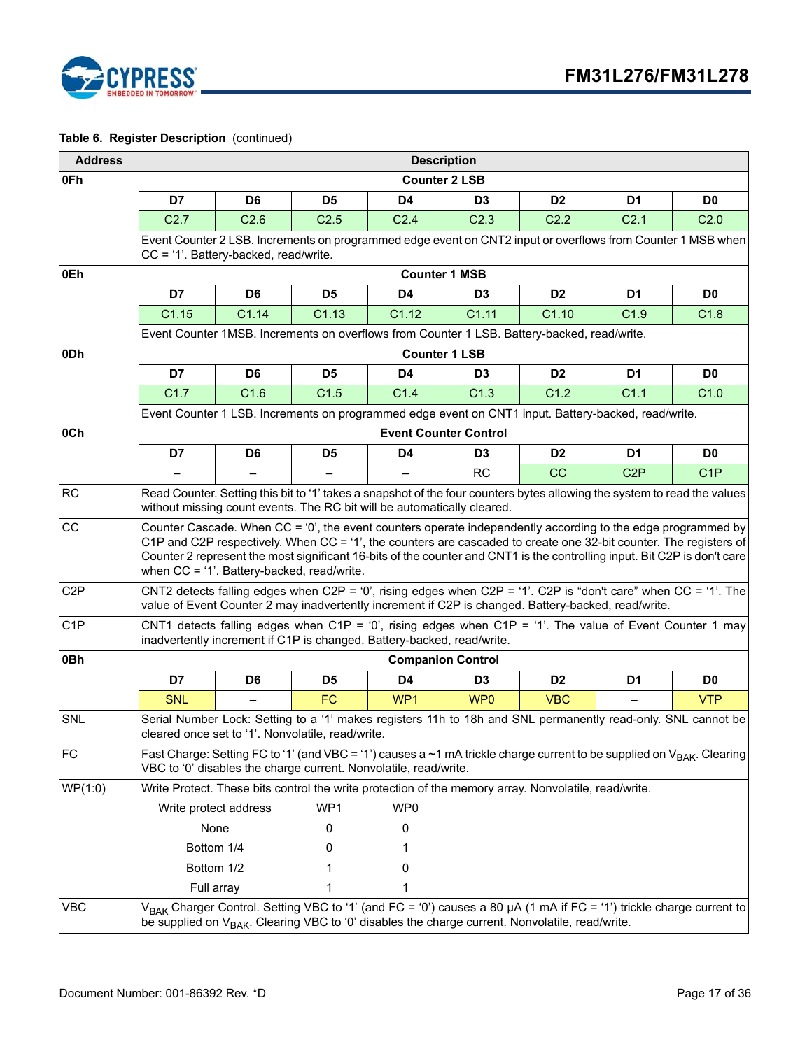

| <b>Address</b>   |                                                                                                                                                                                                                                                                                                                                                                                                             | <b>Description</b>                                                                                                                                     |                  |                                                                                                                                                                                                                                         |                  |                  |                  |                  |  |  |  |
|------------------|-------------------------------------------------------------------------------------------------------------------------------------------------------------------------------------------------------------------------------------------------------------------------------------------------------------------------------------------------------------------------------------------------------------|--------------------------------------------------------------------------------------------------------------------------------------------------------|------------------|-----------------------------------------------------------------------------------------------------------------------------------------------------------------------------------------------------------------------------------------|------------------|------------------|------------------|------------------|--|--|--|
| 0Fh              |                                                                                                                                                                                                                                                                                                                                                                                                             |                                                                                                                                                        |                  | <b>Counter 2 LSB</b>                                                                                                                                                                                                                    |                  |                  |                  |                  |  |  |  |
|                  | D7                                                                                                                                                                                                                                                                                                                                                                                                          | D <sub>6</sub>                                                                                                                                         | D <sub>5</sub>   | D4                                                                                                                                                                                                                                      | D <sub>3</sub>   | D <sub>2</sub>   | D <sub>1</sub>   | D <sub>0</sub>   |  |  |  |
|                  | C2.7                                                                                                                                                                                                                                                                                                                                                                                                        | C <sub>2.6</sub>                                                                                                                                       | C <sub>2.5</sub> | C <sub>2.4</sub>                                                                                                                                                                                                                        | C <sub>2.3</sub> | C <sub>2.2</sub> | C <sub>2.1</sub> | C <sub>2.0</sub> |  |  |  |
|                  |                                                                                                                                                                                                                                                                                                                                                                                                             | Event Counter 2 LSB. Increments on programmed edge event on CNT2 input or overflows from Counter 1 MSB when<br>$CC = '1'.$ Battery-backed, read/write. |                  |                                                                                                                                                                                                                                         |                  |                  |                  |                  |  |  |  |
| 0Eh              |                                                                                                                                                                                                                                                                                                                                                                                                             |                                                                                                                                                        |                  | <b>Counter 1 MSB</b>                                                                                                                                                                                                                    |                  |                  |                  |                  |  |  |  |
|                  | D7                                                                                                                                                                                                                                                                                                                                                                                                          | D <sub>6</sub>                                                                                                                                         | D <sub>5</sub>   | D <sub>4</sub>                                                                                                                                                                                                                          | D <sub>3</sub>   | D <sub>2</sub>   | D <sub>1</sub>   | D <sub>0</sub>   |  |  |  |
|                  | C1.15                                                                                                                                                                                                                                                                                                                                                                                                       | C1.14                                                                                                                                                  | C1.13            | C1.12                                                                                                                                                                                                                                   | C1.11            | C1.10            | C1.9             | C1.8             |  |  |  |
|                  | Event Counter 1MSB. Increments on overflows from Counter 1 LSB. Battery-backed, read/write.                                                                                                                                                                                                                                                                                                                 |                                                                                                                                                        |                  |                                                                                                                                                                                                                                         |                  |                  |                  |                  |  |  |  |
| 0Dh              | <b>Counter 1 LSB</b>                                                                                                                                                                                                                                                                                                                                                                                        |                                                                                                                                                        |                  |                                                                                                                                                                                                                                         |                  |                  |                  |                  |  |  |  |
|                  | D7                                                                                                                                                                                                                                                                                                                                                                                                          | D <sub>6</sub>                                                                                                                                         | D <sub>5</sub>   | D <sub>4</sub>                                                                                                                                                                                                                          | D <sub>3</sub>   | D <sub>2</sub>   | D <sub>1</sub>   | D <sub>0</sub>   |  |  |  |
|                  | C1.7                                                                                                                                                                                                                                                                                                                                                                                                        | C1.6                                                                                                                                                   | C1.5             | C1.4                                                                                                                                                                                                                                    | C <sub>1.3</sub> | C1.2             | C <sub>1.1</sub> | C1.0             |  |  |  |
|                  |                                                                                                                                                                                                                                                                                                                                                                                                             |                                                                                                                                                        |                  | Event Counter 1 LSB. Increments on programmed edge event on CNT1 input. Battery-backed, read/write.                                                                                                                                     |                  |                  |                  |                  |  |  |  |
| 0Ch              |                                                                                                                                                                                                                                                                                                                                                                                                             |                                                                                                                                                        |                  | <b>Event Counter Control</b>                                                                                                                                                                                                            |                  |                  |                  |                  |  |  |  |
|                  | D7                                                                                                                                                                                                                                                                                                                                                                                                          | D <sub>6</sub>                                                                                                                                         | D <sub>5</sub>   | D <sub>4</sub>                                                                                                                                                                                                                          | D <sub>3</sub>   | D <sub>2</sub>   | D <sub>1</sub>   | D <sub>0</sub>   |  |  |  |
|                  |                                                                                                                                                                                                                                                                                                                                                                                                             |                                                                                                                                                        |                  |                                                                                                                                                                                                                                         | <b>RC</b>        | <b>CC</b>        | C <sub>2</sub> P | C <sub>1</sub> P |  |  |  |
| RC               | Read Counter. Setting this bit to '1' takes a snapshot of the four counters bytes allowing the system to read the values<br>without missing count events. The RC bit will be automatically cleared.                                                                                                                                                                                                         |                                                                                                                                                        |                  |                                                                                                                                                                                                                                         |                  |                  |                  |                  |  |  |  |
| CC               | Counter Cascade. When CC = '0', the event counters operate independently according to the edge programmed by<br>C1P and C2P respectively. When CC = '1', the counters are cascaded to create one 32-bit counter. The registers of<br>Counter 2 represent the most significant 16-bits of the counter and CNT1 is the controlling input. Bit C2P is don't care<br>when CC = '1'. Battery-backed, read/write. |                                                                                                                                                        |                  |                                                                                                                                                                                                                                         |                  |                  |                  |                  |  |  |  |
| C <sub>2</sub> P |                                                                                                                                                                                                                                                                                                                                                                                                             |                                                                                                                                                        |                  | CNT2 detects falling edges when C2P = '0', rising edges when C2P = '1'. C2P is "don't care" when CC = '1'. The<br>value of Event Counter 2 may inadvertently increment if C2P is changed. Battery-backed, read/write.                   |                  |                  |                  |                  |  |  |  |
| C <sub>1</sub> P |                                                                                                                                                                                                                                                                                                                                                                                                             |                                                                                                                                                        |                  | CNT1 detects falling edges when C1P = '0', rising edges when C1P = '1'. The value of Event Counter 1 may<br>inadvertently increment if C1P is changed. Battery-backed, read/write.                                                      |                  |                  |                  |                  |  |  |  |
| 0Bh              |                                                                                                                                                                                                                                                                                                                                                                                                             | <b>Companion Control</b>                                                                                                                               |                  |                                                                                                                                                                                                                                         |                  |                  |                  |                  |  |  |  |
|                  | D7                                                                                                                                                                                                                                                                                                                                                                                                          | D <sub>6</sub>                                                                                                                                         | D <sub>5</sub>   | D <sub>4</sub>                                                                                                                                                                                                                          | D <sub>3</sub>   | D <sub>2</sub>   | D1               | D <sub>0</sub>   |  |  |  |
|                  | <b>SNL</b>                                                                                                                                                                                                                                                                                                                                                                                                  |                                                                                                                                                        | FC               | WP1                                                                                                                                                                                                                                     | WP <sub>0</sub>  | <b>VBC</b>       |                  | <b>VTP</b>       |  |  |  |
| SNL              | cleared once set to '1'. Nonvolatile, read/write.                                                                                                                                                                                                                                                                                                                                                           |                                                                                                                                                        |                  | Serial Number Lock: Setting to a '1' makes registers 11h to 18h and SNL permanently read-only. SNL cannot be                                                                                                                            |                  |                  |                  |                  |  |  |  |
| <b>FC</b>        |                                                                                                                                                                                                                                                                                                                                                                                                             |                                                                                                                                                        |                  | Fast Charge: Setting FC to '1' (and VBC = '1') causes a ~1 mA trickle charge current to be supplied on V <sub>BAK</sub> . Clearing<br>VBC to '0' disables the charge current. Nonvolatile, read/write.                                  |                  |                  |                  |                  |  |  |  |
| WP(1:0)          |                                                                                                                                                                                                                                                                                                                                                                                                             |                                                                                                                                                        |                  | Write Protect. These bits control the write protection of the memory array. Nonvolatile, read/write.                                                                                                                                    |                  |                  |                  |                  |  |  |  |
|                  | Write protect address                                                                                                                                                                                                                                                                                                                                                                                       |                                                                                                                                                        | WP1              | WP <sub>0</sub>                                                                                                                                                                                                                         |                  |                  |                  |                  |  |  |  |
|                  | None                                                                                                                                                                                                                                                                                                                                                                                                        |                                                                                                                                                        | 0                | 0                                                                                                                                                                                                                                       |                  |                  |                  |                  |  |  |  |
|                  | Bottom 1/4                                                                                                                                                                                                                                                                                                                                                                                                  |                                                                                                                                                        | 0                |                                                                                                                                                                                                                                         |                  |                  |                  |                  |  |  |  |
|                  | Bottom 1/2                                                                                                                                                                                                                                                                                                                                                                                                  |                                                                                                                                                        |                  | 0                                                                                                                                                                                                                                       |                  |                  |                  |                  |  |  |  |
|                  | Full array                                                                                                                                                                                                                                                                                                                                                                                                  |                                                                                                                                                        |                  |                                                                                                                                                                                                                                         |                  |                  |                  |                  |  |  |  |
| <b>VBC</b>       |                                                                                                                                                                                                                                                                                                                                                                                                             |                                                                                                                                                        |                  | V <sub>BAK</sub> Charger Control. Setting VBC to '1' (and FC = '0') causes a 80 μA (1 mA if FC = '1') trickle charge current to<br>be supplied on $V_{BAK}$ . Clearing VBC to '0' disables the charge current. Nonvolatile, read/write. |                  |                  |                  |                  |  |  |  |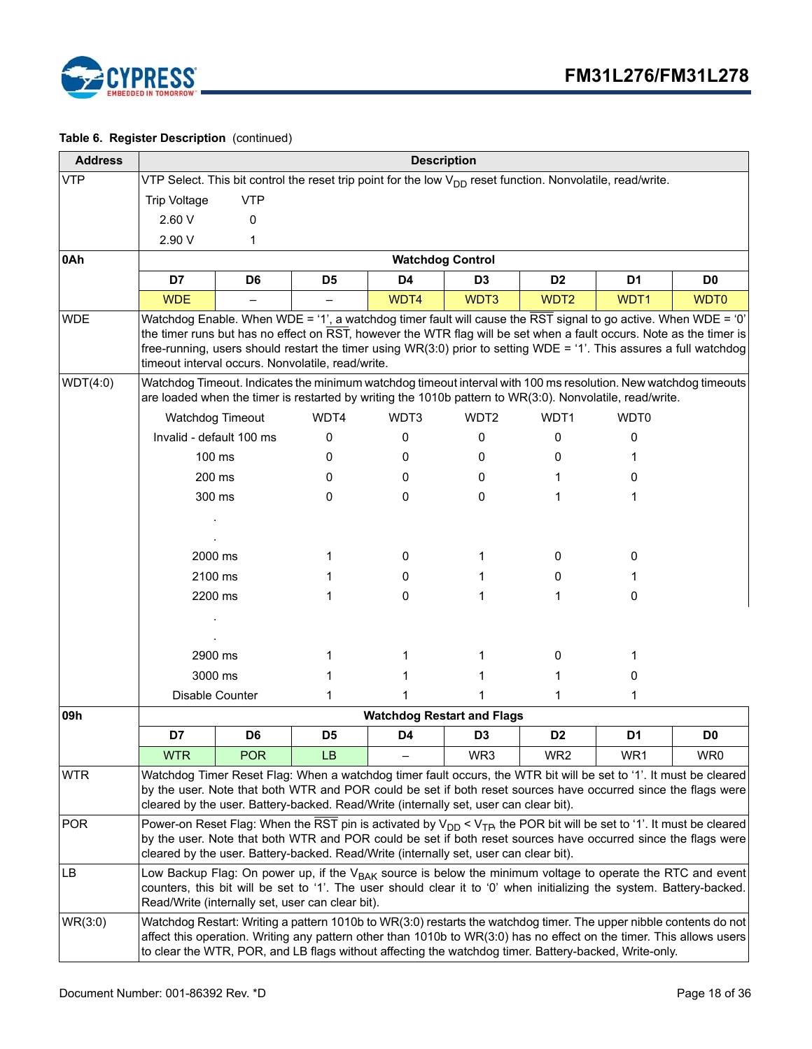

| <b>Address</b> |                          |                |                                                   | <b>Description</b>                                                                                                     |                  |                  |                                                                                                                                                                                                                                                                                                                                                              |                  |
|----------------|--------------------------|----------------|---------------------------------------------------|------------------------------------------------------------------------------------------------------------------------|------------------|------------------|--------------------------------------------------------------------------------------------------------------------------------------------------------------------------------------------------------------------------------------------------------------------------------------------------------------------------------------------------------------|------------------|
| <b>VTP</b>     |                          |                |                                                   | VTP Select. This bit control the reset trip point for the low V <sub>DD</sub> reset function. Nonvolatile, read/write. |                  |                  |                                                                                                                                                                                                                                                                                                                                                              |                  |
|                | <b>Trip Voltage</b>      | <b>VTP</b>     |                                                   |                                                                                                                        |                  |                  |                                                                                                                                                                                                                                                                                                                                                              |                  |
|                | 2.60 V                   | 0              |                                                   |                                                                                                                        |                  |                  |                                                                                                                                                                                                                                                                                                                                                              |                  |
|                | 2.90 V                   | 1              |                                                   |                                                                                                                        |                  |                  |                                                                                                                                                                                                                                                                                                                                                              |                  |
| 0Ah            |                          |                |                                                   | <b>Watchdog Control</b>                                                                                                |                  |                  |                                                                                                                                                                                                                                                                                                                                                              |                  |
|                | D7                       | D <sub>6</sub> | D <sub>5</sub>                                    | D <sub>4</sub>                                                                                                         | D <sub>3</sub>   | D <sub>2</sub>   | D <sub>1</sub>                                                                                                                                                                                                                                                                                                                                               | D <sub>0</sub>   |
|                | <b>WDE</b>               |                |                                                   | WDT4                                                                                                                   | WDT3             | WDT <sub>2</sub> | WDT1                                                                                                                                                                                                                                                                                                                                                         | WDT <sub>0</sub> |
| <b>WDE</b>     |                          |                | timeout interval occurs. Nonvolatile, read/write. |                                                                                                                        |                  |                  | Watchdog Enable. When WDE = '1', a watchdog timer fault will cause the RST signal to go active. When WDE = '0'<br>the timer runs but has no effect on RST, however the WTR flag will be set when a fault occurs. Note as the timer is<br>free-running, users should restart the timer using WR(3:0) prior to setting WDE = '1'. This assures a full watchdog |                  |
| WDT(4:0)       |                          |                |                                                   |                                                                                                                        |                  |                  | Watchdog Timeout. Indicates the minimum watchdog timeout interval with 100 ms resolution. New watchdog timeouts<br>are loaded when the timer is restarted by writing the 1010b pattern to WR(3:0). Nonvolatile, read/write.                                                                                                                                  |                  |
|                | Watchdog Timeout         |                | WDT4                                              | WDT3                                                                                                                   | WDT <sub>2</sub> | WDT1             | WDT0                                                                                                                                                                                                                                                                                                                                                         |                  |
|                | Invalid - default 100 ms |                | 0                                                 | 0                                                                                                                      | 0                | 0                | 0                                                                                                                                                                                                                                                                                                                                                            |                  |
|                | 100 ms                   |                | 0                                                 | 0                                                                                                                      | 0                | 0                |                                                                                                                                                                                                                                                                                                                                                              |                  |
|                | 200 ms                   |                | 0                                                 | 0                                                                                                                      | 0                |                  | 0                                                                                                                                                                                                                                                                                                                                                            |                  |
|                | 300 ms                   |                | 0                                                 | 0                                                                                                                      | 0                | 1                | 1                                                                                                                                                                                                                                                                                                                                                            |                  |
|                | 2000 ms                  |                | 1                                                 | 0                                                                                                                      |                  | 0                | 0                                                                                                                                                                                                                                                                                                                                                            |                  |
|                | 2100 ms                  |                | 1                                                 | 0                                                                                                                      |                  | 0                | 1                                                                                                                                                                                                                                                                                                                                                            |                  |
|                | 2200 ms                  |                | 1                                                 | 0                                                                                                                      | 1                | 1                | 0                                                                                                                                                                                                                                                                                                                                                            |                  |
|                |                          |                |                                                   |                                                                                                                        |                  |                  |                                                                                                                                                                                                                                                                                                                                                              |                  |
|                | 2900 ms                  |                | 1                                                 | 1                                                                                                                      |                  | 0                |                                                                                                                                                                                                                                                                                                                                                              |                  |
|                | 3000 ms                  |                | 1                                                 | 1                                                                                                                      |                  |                  | 0                                                                                                                                                                                                                                                                                                                                                            |                  |
|                | Disable Counter          |                | 1                                                 | 1                                                                                                                      |                  | 1                | 1                                                                                                                                                                                                                                                                                                                                                            |                  |
| 09h            |                          |                |                                                   | <b>Watchdog Restart and Flags</b>                                                                                      |                  |                  |                                                                                                                                                                                                                                                                                                                                                              |                  |
|                | D7                       | D <sub>6</sub> | D <sub>5</sub>                                    | D <sub>4</sub>                                                                                                         | D <sub>3</sub>   | D <sub>2</sub>   | D1                                                                                                                                                                                                                                                                                                                                                           | D <sub>0</sub>   |
|                | <b>WTR</b>               | <b>POR</b>     | <b>LB</b>                                         |                                                                                                                        | WR3              | WR <sub>2</sub>  | WR1                                                                                                                                                                                                                                                                                                                                                          | WR0              |
| <b>WTR</b>     |                          |                |                                                   | cleared by the user. Battery-backed. Read/Write (internally set, user can clear bit).                                  |                  |                  | Watchdog Timer Reset Flag: When a watchdog timer fault occurs, the WTR bit will be set to '1'. It must be cleared<br>by the user. Note that both WTR and POR could be set if both reset sources have occurred since the flags were                                                                                                                           |                  |
| <b>POR</b>     |                          |                |                                                   | cleared by the user. Battery-backed. Read/Write (internally set, user can clear bit).                                  |                  |                  | Power-on Reset Flag: When the RST pin is activated by $V_{DD} < V_{TP}$ , the POR bit will be set to '1'. It must be cleared<br>by the user. Note that both WTR and POR could be set if both reset sources have occurred since the flags were                                                                                                                |                  |
| LB             |                          |                | Read/Write (internally set, user can clear bit).  |                                                                                                                        |                  |                  | Low Backup Flag: On power up, if the V <sub>BAK</sub> source is below the minimum voltage to operate the RTC and event<br>counters, this bit will be set to '1'. The user should clear it to '0' when initializing the system. Battery-backed.                                                                                                               |                  |
| WR(3:0)        |                          |                |                                                   |                                                                                                                        |                  |                  | Watchdog Restart: Writing a pattern 1010b to WR(3:0) restarts the watchdog timer. The upper nibble contents do not<br>affect this operation. Writing any pattern other than 1010b to WR(3:0) has no effect on the timer. This allows users<br>to clear the WTR, POR, and LB flags without affecting the watchdog timer. Battery-backed, Write-only.          |                  |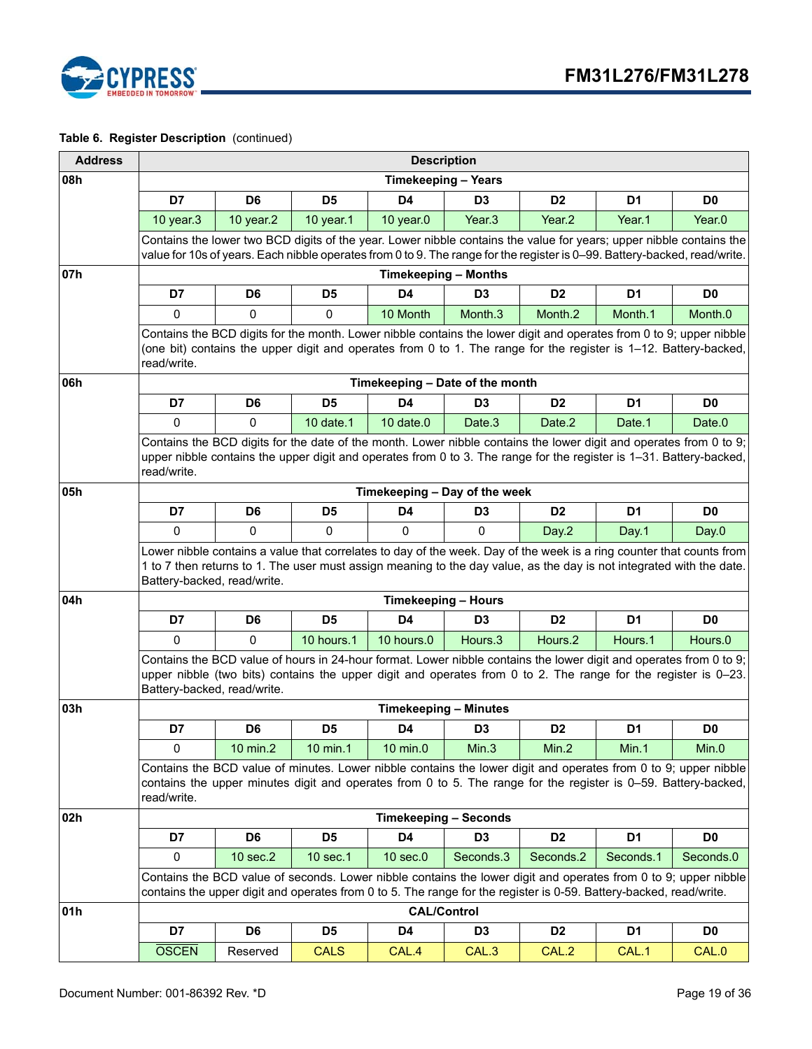

| <b>Address</b> |                                                                                                                                                                                                                                                                     |                                                                                                                                                                                                                                                                             |                |                | <b>Description</b>                                                                                                                                                                                                                    |                    |                |                |  |  |
|----------------|---------------------------------------------------------------------------------------------------------------------------------------------------------------------------------------------------------------------------------------------------------------------|-----------------------------------------------------------------------------------------------------------------------------------------------------------------------------------------------------------------------------------------------------------------------------|----------------|----------------|---------------------------------------------------------------------------------------------------------------------------------------------------------------------------------------------------------------------------------------|--------------------|----------------|----------------|--|--|
| 08h            |                                                                                                                                                                                                                                                                     |                                                                                                                                                                                                                                                                             |                |                | <b>Timekeeping - Years</b>                                                                                                                                                                                                            |                    |                |                |  |  |
|                | D7                                                                                                                                                                                                                                                                  | D <sub>6</sub>                                                                                                                                                                                                                                                              | D <sub>5</sub> | D4             | D <sub>3</sub>                                                                                                                                                                                                                        | D <sub>2</sub>     | D <sub>1</sub> | D <sub>0</sub> |  |  |
|                | 10 year.3                                                                                                                                                                                                                                                           | 10 year.2                                                                                                                                                                                                                                                                   | 10 year.1      | 10 year.0      | Year <sub>.3</sub>                                                                                                                                                                                                                    | Year <sub>.2</sub> | Year.1         | Year.0         |  |  |
|                | Contains the lower two BCD digits of the year. Lower nibble contains the value for years; upper nibble contains the<br>value for 10s of years. Each nibble operates from 0 to 9. The range for the register is 0-99. Battery-backed, read/write.                    |                                                                                                                                                                                                                                                                             |                |                |                                                                                                                                                                                                                                       |                    |                |                |  |  |
| 07h            |                                                                                                                                                                                                                                                                     |                                                                                                                                                                                                                                                                             |                |                | <b>Timekeeping - Months</b>                                                                                                                                                                                                           |                    |                |                |  |  |
|                | D7                                                                                                                                                                                                                                                                  | D6                                                                                                                                                                                                                                                                          | D5             | D4             | D <sub>3</sub>                                                                                                                                                                                                                        | D <sub>2</sub>     | D <sub>1</sub> | D <sub>0</sub> |  |  |
|                | $\mathbf 0$<br>$\mathbf{0}$<br>$\mathbf 0$<br>10 Month<br>Month.3<br>Month.2<br>Month.1<br>Month.0                                                                                                                                                                  |                                                                                                                                                                                                                                                                             |                |                |                                                                                                                                                                                                                                       |                    |                |                |  |  |
|                | Contains the BCD digits for the month. Lower nibble contains the lower digit and operates from 0 to 9; upper nibble<br>(one bit) contains the upper digit and operates from 0 to 1. The range for the register is 1-12. Battery-backed,<br>read/write.              |                                                                                                                                                                                                                                                                             |                |                |                                                                                                                                                                                                                                       |                    |                |                |  |  |
| 06h            |                                                                                                                                                                                                                                                                     |                                                                                                                                                                                                                                                                             |                |                | Timekeeping - Date of the month                                                                                                                                                                                                       |                    |                |                |  |  |
|                | D7                                                                                                                                                                                                                                                                  | D <sub>6</sub>                                                                                                                                                                                                                                                              | D <sub>5</sub> | D4             | D <sub>3</sub>                                                                                                                                                                                                                        | D <sub>2</sub>     | D <sub>1</sub> | D <sub>0</sub> |  |  |
|                | $\mathbf 0$                                                                                                                                                                                                                                                         | $\mathbf{0}$                                                                                                                                                                                                                                                                | 10 date.1      | $10$ date. $0$ | Date.3                                                                                                                                                                                                                                | Date.2             | Date.1         | Date.0         |  |  |
|                | Contains the BCD digits for the date of the month. Lower nibble contains the lower digit and operates from 0 to 9;<br>upper nibble contains the upper digit and operates from 0 to 3. The range for the register is 1-31. Battery-backed,<br>read/write.            |                                                                                                                                                                                                                                                                             |                |                |                                                                                                                                                                                                                                       |                    |                |                |  |  |
| 05h            | Timekeeping - Day of the week                                                                                                                                                                                                                                       |                                                                                                                                                                                                                                                                             |                |                |                                                                                                                                                                                                                                       |                    |                |                |  |  |
|                | D7                                                                                                                                                                                                                                                                  | D <sub>6</sub>                                                                                                                                                                                                                                                              | D <sub>5</sub> | D <sub>4</sub> | D <sub>3</sub>                                                                                                                                                                                                                        | D <sub>2</sub>     | D <sub>1</sub> | D <sub>0</sub> |  |  |
|                | 0                                                                                                                                                                                                                                                                   | 0                                                                                                                                                                                                                                                                           | $\mathbf 0$    | 0              | 0                                                                                                                                                                                                                                     | Day.2              | Day.1          | Day.0          |  |  |
|                |                                                                                                                                                                                                                                                                     | Lower nibble contains a value that correlates to day of the week. Day of the week is a ring counter that counts from<br>1 to 7 then returns to 1. The user must assign meaning to the day value, as the day is not integrated with the date.<br>Battery-backed, read/write. |                |                |                                                                                                                                                                                                                                       |                    |                |                |  |  |
| 04h            |                                                                                                                                                                                                                                                                     |                                                                                                                                                                                                                                                                             |                |                | <b>Timekeeping - Hours</b>                                                                                                                                                                                                            |                    |                |                |  |  |
|                | D7                                                                                                                                                                                                                                                                  | D <sub>6</sub>                                                                                                                                                                                                                                                              | D <sub>5</sub> | D <sub>4</sub> | D <sub>3</sub>                                                                                                                                                                                                                        | D <sub>2</sub>     | D <sub>1</sub> | D <sub>0</sub> |  |  |
|                | 0                                                                                                                                                                                                                                                                   | $\mathbf{0}$                                                                                                                                                                                                                                                                | 10 hours.1     | 10 hours.0     | Hours.3                                                                                                                                                                                                                               | Hours.2            | Hours.1        | Hours.0        |  |  |
|                | Contains the BCD value of hours in 24-hour format. Lower nibble contains the lower digit and operates from 0 to 9;<br>upper nibble (two bits) contains the upper digit and operates from 0 to 2. The range for the register is 0-23.<br>Battery-backed, read/write. |                                                                                                                                                                                                                                                                             |                |                |                                                                                                                                                                                                                                       |                    |                |                |  |  |
| 03h            |                                                                                                                                                                                                                                                                     |                                                                                                                                                                                                                                                                             |                |                | <b>Timekeeping - Minutes</b>                                                                                                                                                                                                          |                    |                |                |  |  |
|                | D7                                                                                                                                                                                                                                                                  | D <sub>6</sub>                                                                                                                                                                                                                                                              | D <sub>5</sub> | D4             | D <sub>3</sub>                                                                                                                                                                                                                        | D <sub>2</sub>     | D <sub>1</sub> | D <sub>0</sub> |  |  |
|                | 0                                                                                                                                                                                                                                                                   | 10 min.2                                                                                                                                                                                                                                                                    | 10 min.1       | 10 min.0       | Min.3                                                                                                                                                                                                                                 | Min.2              | Min.1          | Min.0          |  |  |
|                | read/write.                                                                                                                                                                                                                                                         |                                                                                                                                                                                                                                                                             |                |                | Contains the BCD value of minutes. Lower nibble contains the lower digit and operates from 0 to 9; upper nibble<br>contains the upper minutes digit and operates from 0 to 5. The range for the register is 0-59. Battery-backed,     |                    |                |                |  |  |
| 02h            |                                                                                                                                                                                                                                                                     |                                                                                                                                                                                                                                                                             |                |                | <b>Timekeeping - Seconds</b>                                                                                                                                                                                                          |                    |                |                |  |  |
|                | D7                                                                                                                                                                                                                                                                  | D6                                                                                                                                                                                                                                                                          | D <sub>5</sub> | D4             | D <sub>3</sub>                                                                                                                                                                                                                        | D <sub>2</sub>     | D1             | D <sub>0</sub> |  |  |
|                | 0                                                                                                                                                                                                                                                                   | 10 sec.2                                                                                                                                                                                                                                                                    | 10 sec.1       | $10$ sec. $0$  | Seconds.3                                                                                                                                                                                                                             | Seconds.2          | Seconds.1      | Seconds.0      |  |  |
|                |                                                                                                                                                                                                                                                                     |                                                                                                                                                                                                                                                                             |                |                | Contains the BCD value of seconds. Lower nibble contains the lower digit and operates from 0 to 9; upper nibble<br>contains the upper digit and operates from 0 to 5. The range for the register is 0-59. Battery-backed, read/write. |                    |                |                |  |  |
| 01h            |                                                                                                                                                                                                                                                                     |                                                                                                                                                                                                                                                                             |                |                | <b>CAL/Control</b>                                                                                                                                                                                                                    |                    |                |                |  |  |
|                | D7                                                                                                                                                                                                                                                                  | D6                                                                                                                                                                                                                                                                          | D <sub>5</sub> | D4             | D <sub>3</sub>                                                                                                                                                                                                                        | D <sub>2</sub>     | D1             | D0             |  |  |
|                | <b>OSCEN</b>                                                                                                                                                                                                                                                        | Reserved                                                                                                                                                                                                                                                                    | <b>CALS</b>    | CAL.4          | CAL.3                                                                                                                                                                                                                                 | CAL.2              | CAL.1          | CAL.0          |  |  |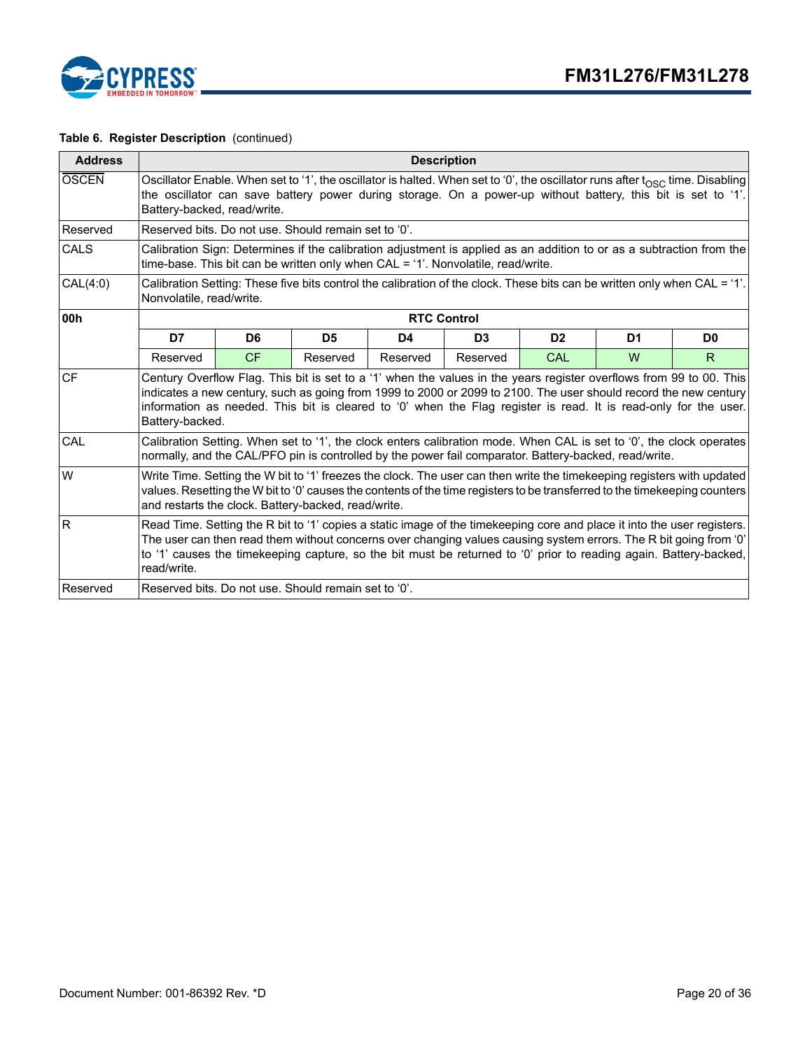

| <b>Address</b> |                 |                                                                                                                                                                                                                                                                                                             |                                                      | <b>Description</b> |                |                |                                                                                                                                                                                                                                                                                                                                                                   |                |  |  |  |
|----------------|-----------------|-------------------------------------------------------------------------------------------------------------------------------------------------------------------------------------------------------------------------------------------------------------------------------------------------------------|------------------------------------------------------|--------------------|----------------|----------------|-------------------------------------------------------------------------------------------------------------------------------------------------------------------------------------------------------------------------------------------------------------------------------------------------------------------------------------------------------------------|----------------|--|--|--|
| <b>OSCEN</b>   |                 | Oscillator Enable. When set to '1', the oscillator is halted. When set to '0', the oscillator runs after t <sub>OSC</sub> time. Disabling<br>the oscillator can save battery power during storage. On a power-up without battery, this bit is set to '1'.<br>Battery-backed, read/write.                    |                                                      |                    |                |                |                                                                                                                                                                                                                                                                                                                                                                   |                |  |  |  |
| Reserved       |                 | Reserved bits. Do not use. Should remain set to '0'.                                                                                                                                                                                                                                                        |                                                      |                    |                |                |                                                                                                                                                                                                                                                                                                                                                                   |                |  |  |  |
| CALS           |                 | Calibration Sign: Determines if the calibration adjustment is applied as an addition to or as a subtraction from the<br>time-base. This bit can be written only when CAL = '1'. Nonvolatile, read/write.                                                                                                    |                                                      |                    |                |                |                                                                                                                                                                                                                                                                                                                                                                   |                |  |  |  |
| CAL(4:0)       |                 | Calibration Setting: These five bits control the calibration of the clock. These bits can be written only when CAL = '1'.<br>Nonvolatile, read/write.                                                                                                                                                       |                                                      |                    |                |                |                                                                                                                                                                                                                                                                                                                                                                   |                |  |  |  |
| 00h            |                 |                                                                                                                                                                                                                                                                                                             |                                                      | <b>RTC Control</b> |                |                |                                                                                                                                                                                                                                                                                                                                                                   |                |  |  |  |
|                | D7              | D <sub>6</sub>                                                                                                                                                                                                                                                                                              | D <sub>5</sub>                                       | D4                 | D <sub>3</sub> | D <sub>2</sub> | D <sub>1</sub>                                                                                                                                                                                                                                                                                                                                                    | D <sub>0</sub> |  |  |  |
|                | Reserved        | <b>CF</b>                                                                                                                                                                                                                                                                                                   | Reserved                                             | Reserved           | Reserved       | CAL            | W                                                                                                                                                                                                                                                                                                                                                                 | R.             |  |  |  |
| <b>CF</b>      | Battery-backed. |                                                                                                                                                                                                                                                                                                             |                                                      |                    |                |                | Century Overflow Flag. This bit is set to a '1' when the values in the years register overflows from 99 to 00. This<br>indicates a new century, such as going from 1999 to 2000 or 2099 to 2100. The user should record the new century<br>information as needed. This bit is cleared to '0' when the Flag register is read. It is read-only for the user.        |                |  |  |  |
| CAL            |                 |                                                                                                                                                                                                                                                                                                             |                                                      |                    |                |                | Calibration Setting. When set to '1', the clock enters calibration mode. When CAL is set to '0', the clock operates<br>normally, and the CAL/PFO pin is controlled by the power fail comparator. Battery-backed, read/write.                                                                                                                                      |                |  |  |  |
| W              |                 | Write Time. Setting the W bit to '1' freezes the clock. The user can then write the timekeeping registers with updated<br>values. Resetting the W bit to '0' causes the contents of the time registers to be transferred to the timekeeping counters<br>and restarts the clock. Battery-backed, read/write. |                                                      |                    |                |                |                                                                                                                                                                                                                                                                                                                                                                   |                |  |  |  |
| lR.            | read/write.     |                                                                                                                                                                                                                                                                                                             |                                                      |                    |                |                | Read Time. Setting the R bit to '1' copies a static image of the timekeeping core and place it into the user registers.<br>The user can then read them without concerns over changing values causing system errors. The R bit going from '0'<br>to '1' causes the timekeeping capture, so the bit must be returned to '0' prior to reading again. Battery-backed, |                |  |  |  |
| Reserved       |                 |                                                                                                                                                                                                                                                                                                             | Reserved bits. Do not use. Should remain set to '0'. |                    |                |                |                                                                                                                                                                                                                                                                                                                                                                   |                |  |  |  |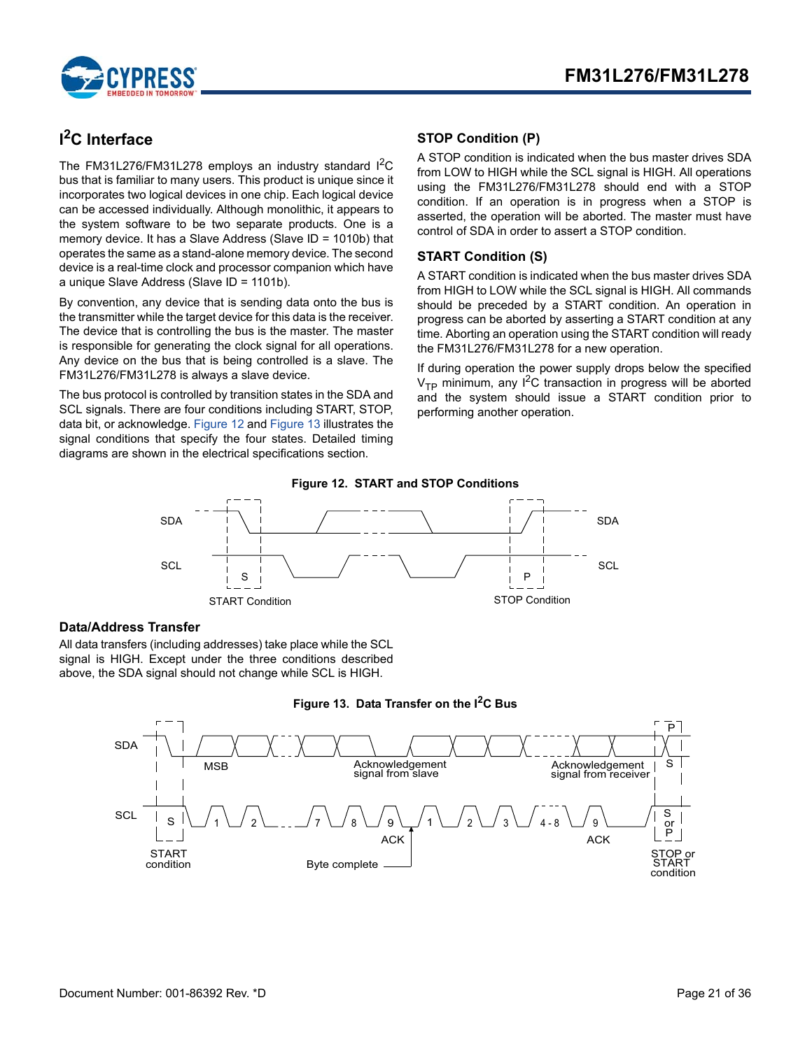

# <span id="page-20-0"></span>**I 2C Interface**

The FM31L276/FM31L278 employs an industry standard I<sup>2</sup>C bus that is familiar to many users. This product is unique since it incorporates two logical devices in one chip. Each logical device can be accessed individually. Although monolithic, it appears to the system software to be two separate products. One is a memory device. It has a Slave Address (Slave ID = 1010b) that operates the same as a stand-alone memory device. The second device is a real-time clock and processor companion which have a unique Slave Address (Slave ID = 1101b).

By convention, any device that is sending data onto the bus is the transmitter while the target device for this data is the receiver. The device that is controlling the bus is the master. The master is responsible for generating the clock signal for all operations. Any device on the bus that is being controlled is a slave. The FM31L276/FM31L278 is always a slave device.

<span id="page-20-4"></span>The bus protocol is controlled by transition states in the SDA and SCL signals. There are four conditions including START, STOP, data bit, or acknowledge. [Figure 12](#page-20-4) and [Figure 13](#page-20-5) illustrates the signal conditions that specify the four states. Detailed timing diagrams are shown in the electrical specifications section.

### <span id="page-20-1"></span>**STOP Condition (P)**

A STOP condition is indicated when the bus master drives SDA from LOW to HIGH while the SCL signal is HIGH. All operations using the FM31L276/FM31L278 should end with a STOP condition. If an operation is in progress when a STOP is asserted, the operation will be aborted. The master must have control of SDA in order to assert a STOP condition.

### <span id="page-20-2"></span>**START Condition (S)**

A START condition is indicated when the bus master drives SDA from HIGH to LOW while the SCL signal is HIGH. All commands should be preceded by a START condition. An operation in progress can be aborted by asserting a START condition at any time. Aborting an operation using the START condition will ready the FM31L276/FM31L278 for a new operation.

If during operation the power supply drops below the specified  $V_{\text{TP}}$  minimum, any  $1^2C$  transaction in progress will be aborted and the system should issue a START condition prior to performing another operation.



### <span id="page-20-3"></span>**Data/Address Transfer**

All data transfers (including addresses) take place while the SCL signal is HIGH. Except under the three conditions described above, the SDA signal should not change while SCL is HIGH.

<span id="page-20-5"></span>

#### **Figure 13. Data Transfer on the I2C Bus**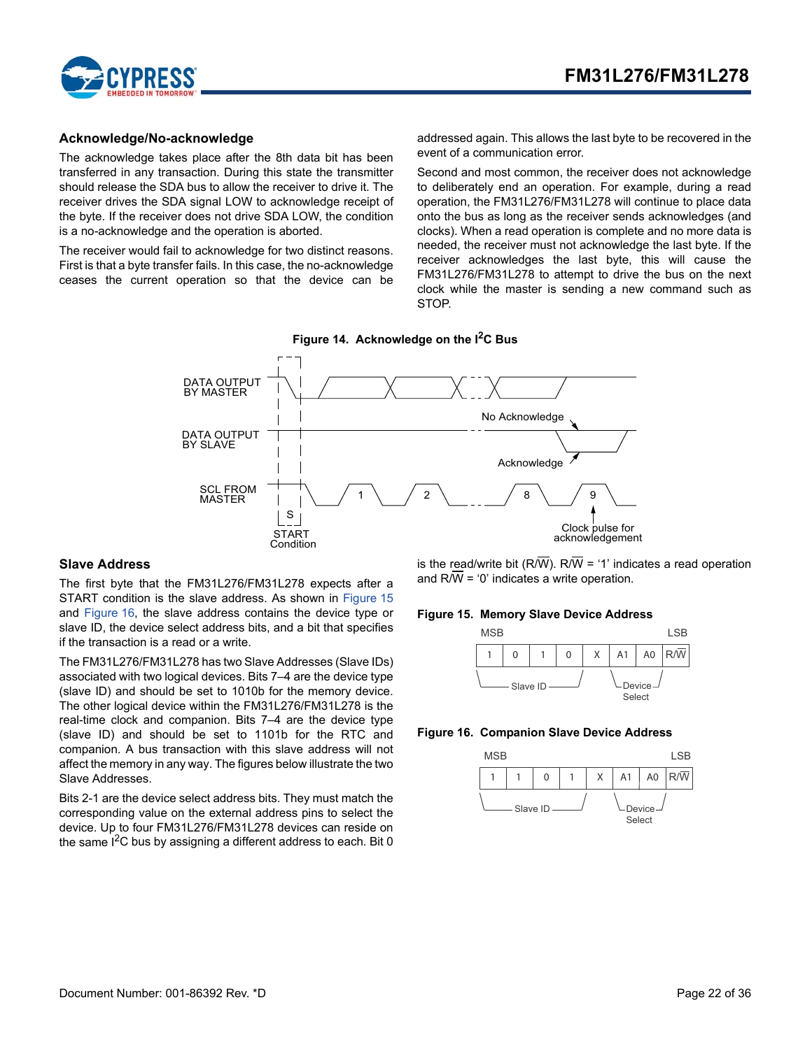

### <span id="page-21-0"></span>**Acknowledge/No-acknowledge**

The acknowledge takes place after the 8th data bit has been transferred in any transaction. During this state the transmitter should release the SDA bus to allow the receiver to drive it. The receiver drives the SDA signal LOW to acknowledge receipt of the byte. If the receiver does not drive SDA LOW, the condition is a no-acknowledge and the operation is aborted.

The receiver would fail to acknowledge for two distinct reasons. First is that a byte transfer fails. In this case, the no-acknowledge ceases the current operation so that the device can be addressed again. This allows the last byte to be recovered in the event of a communication error.

Second and most common, the receiver does not acknowledge to deliberately end an operation. For example, during a read operation, the FM31L276/FM31L278 will continue to place data onto the bus as long as the receiver sends acknowledges (and clocks). When a read operation is complete and no more data is needed, the receiver must not acknowledge the last byte. If the receiver acknowledges the last byte, this will cause the FM31L276/FM31L278 to attempt to drive the bus on the next clock while the master is sending a new command such as STOP.



#### <span id="page-21-1"></span>**Slave Address**

The first byte that the FM31L276/FM31L278 expects after a START condition is the slave address. As shown in [Figure 15](#page-21-3) and [Figure 16](#page-21-2), the slave address contains the device type or slave ID, the device select address bits, and a bit that specifies if the transaction is a read or a write.

The FM31L276/FM31L278 has two Slave Addresses (Slave IDs) associated with two logical devices. Bits 7–4 are the device type (slave ID) and should be set to 1010b for the memory device. The other logical device within the FM31L276/FM31L278 is the real-time clock and companion. Bits 7–4 are the device type (slave ID) and should be set to 1101b for the RTC and companion. A bus transaction with this slave address will not affect the memory in any way. The figures below illustrate the two Slave Addresses.

Bits 2-1 are the device select address bits. They must match the corresponding value on the external address pins to select the device. Up to four FM31L276/FM31L278 devices can reside on the same  $I^2C$  bus by assigning a different address to each. Bit 0

is the read/write bit (R/W). R/ $\overline{W}$  = '1' indicates a read operation and  $R/\overline{W}$  = '0' indicates a write operation.

#### <span id="page-21-3"></span>**Figure 15. Memory Slave Device Address**



#### <span id="page-21-2"></span>**Figure 16. Companion Slave Device Address**

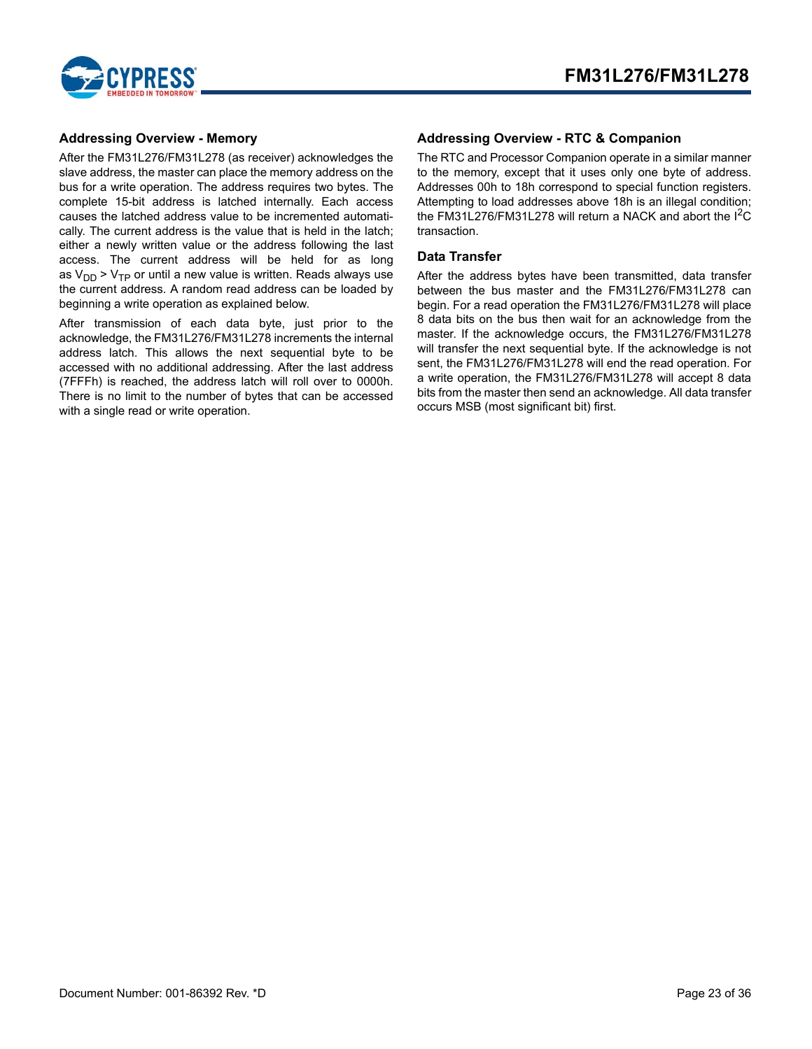

### <span id="page-22-0"></span>**Addressing Overview - Memory**

After the FM31L276/FM31L278 (as receiver) acknowledges the slave address, the master can place the memory address on the bus for a write operation. The address requires two bytes. The complete 15-bit address is latched internally. Each access causes the latched address value to be incremented automatically. The current address is the value that is held in the latch; either a newly written value or the address following the last access. The current address will be held for as long as  $V_{DD}$  >  $V_{TP}$  or until a new value is written. Reads always use the current address. A random read address can be loaded by beginning a write operation as explained below.

After transmission of each data byte, just prior to the acknowledge, the FM31L276/FM31L278 increments the internal address latch. This allows the next sequential byte to be accessed with no additional addressing. After the last address (7FFFh) is reached, the address latch will roll over to 0000h. There is no limit to the number of bytes that can be accessed with a single read or write operation.

### <span id="page-22-1"></span>**Addressing Overview - RTC & Companion**

The RTC and Processor Companion operate in a similar manner to the memory, except that it uses only one byte of address. Addresses 00h to 18h correspond to special function registers. Attempting to load addresses above 18h is an illegal condition; the FM31L276/FM31L278 will return a NACK and abort the  $I^2C$ transaction.

### <span id="page-22-2"></span>**Data Transfer**

After the address bytes have been transmitted, data transfer between the bus master and the FM31L276/FM31L278 can begin. For a read operation the FM31L276/FM31L278 will place 8 data bits on the bus then wait for an acknowledge from the master. If the acknowledge occurs, the FM31L276/FM31L278 will transfer the next sequential byte. If the acknowledge is not sent, the FM31L276/FM31L278 will end the read operation. For a write operation, the FM31L276/FM31L278 will accept 8 data bits from the master then send an acknowledge. All data transfer occurs MSB (most significant bit) first.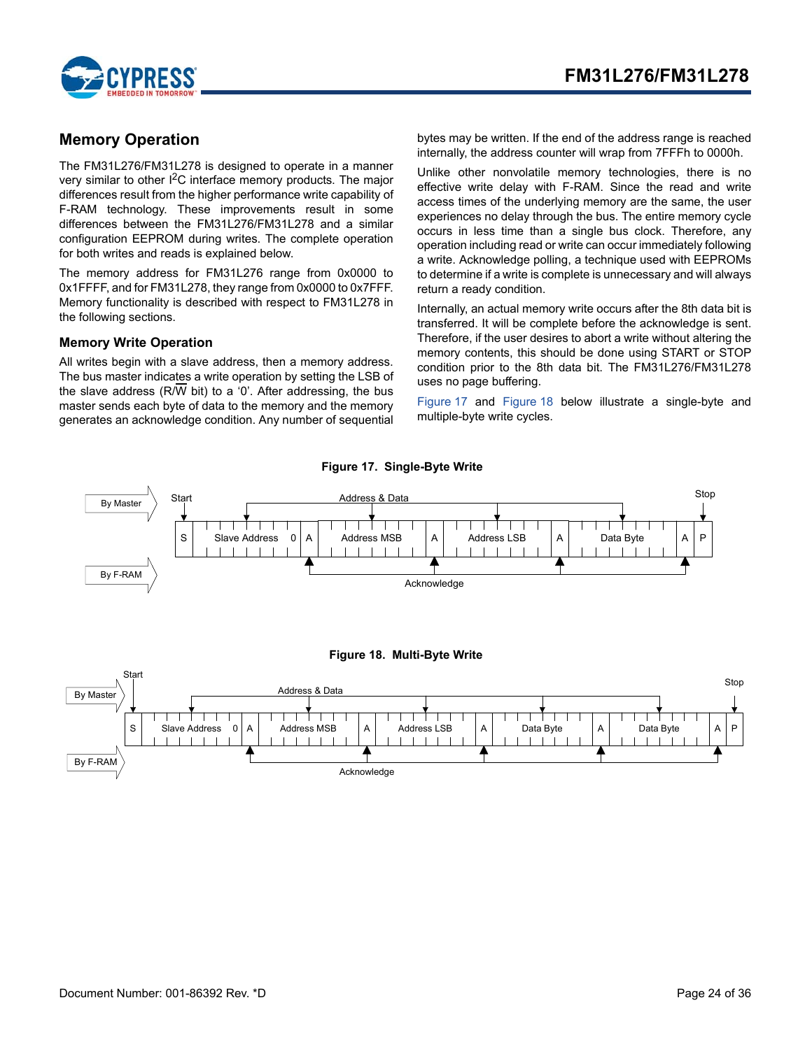

# <span id="page-23-0"></span>**Memory Operation**

The FM31L276/FM31L278 is designed to operate in a manner very similar to other  $I^2C$  interface memory products. The major differences result from the higher performance write capability of F-RAM technology. These improvements result in some differences between the FM31L276/FM31L278 and a similar configuration EEPROM during writes. The complete operation for both writes and reads is explained below.

The memory address for FM31L276 range from 0x0000 to 0x1FFFF, and for FM31L278, they range from 0x0000 to 0x7FFF. Memory functionality is described with respect to FM31L278 in the following sections.

### <span id="page-23-1"></span>**Memory Write Operation**

All writes begin with a slave address, then a memory address. The bus master indicates a write operation by setting the LSB of the slave address (R/W bit) to a '0'. After addressing, the bus master sends each byte of data to the memory and the memory generates an acknowledge condition. Any number of sequential

bytes may be written. If the end of the address range is reached internally, the address counter will wrap from 7FFFh to 0000h.

Unlike other nonvolatile memory technologies, there is no effective write delay with F-RAM. Since the read and write access times of the underlying memory are the same, the user experiences no delay through the bus. The entire memory cycle occurs in less time than a single bus clock. Therefore, any operation including read or write can occur immediately following a write. Acknowledge polling, a technique used with EEPROMs to determine if a write is complete is unnecessary and will always return a ready condition.

Internally, an actual memory write occurs after the 8th data bit is transferred. It will be complete before the acknowledge is sent. Therefore, if the user desires to abort a write without altering the memory contents, this should be done using START or STOP condition prior to the 8th data bit. The FM31L276/FM31L278 uses no page buffering.

[Figure 17](#page-23-2) and [Figure 18](#page-23-3) below illustrate a single-byte and multiple-byte write cycles.

<span id="page-23-3"></span><span id="page-23-2"></span>

#### **Figure 17. Single-Byte Write**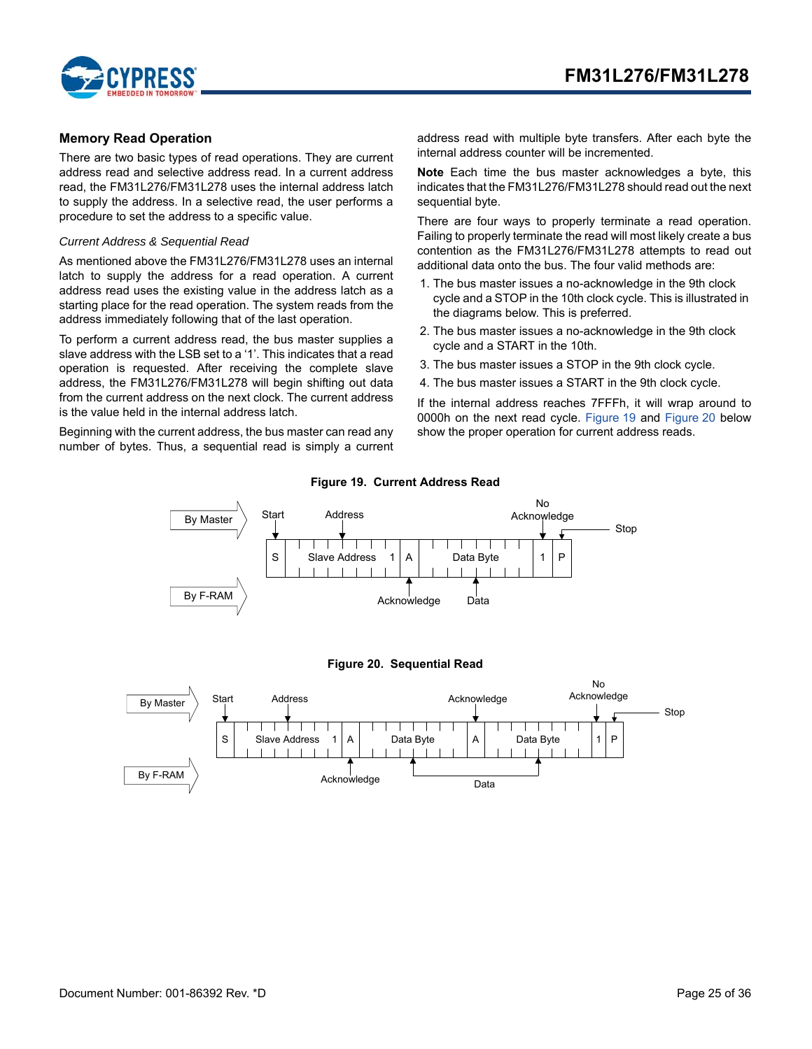

### <span id="page-24-0"></span>**Memory Read Operation**

There are two basic types of read operations. They are current address read and selective address read. In a current address read, the FM31L276/FM31L278 uses the internal address latch to supply the address. In a selective read, the user performs a procedure to set the address to a specific value.

#### *Current Address & Sequential Read*

As mentioned above the FM31L276/FM31L278 uses an internal latch to supply the address for a read operation. A current address read uses the existing value in the address latch as a starting place for the read operation. The system reads from the address immediately following that of the last operation.

To perform a current address read, the bus master supplies a slave address with the LSB set to a '1'. This indicates that a read operation is requested. After receiving the complete slave address, the FM31L276/FM31L278 will begin shifting out data from the current address on the next clock. The current address is the value held in the internal address latch.

<span id="page-24-1"></span>Beginning with the current address, the bus master can read any number of bytes. Thus, a sequential read is simply a current address read with multiple byte transfers. After each byte the internal address counter will be incremented.

**Note** Each time the bus master acknowledges a byte, this indicates that the FM31L276/FM31L278 should read out the next sequential byte.

There are four ways to properly terminate a read operation. Failing to properly terminate the read will most likely create a bus contention as the FM31L276/FM31L278 attempts to read out additional data onto the bus. The four valid methods are:

- 1. The bus master issues a no-acknowledge in the 9th clock cycle and a STOP in the 10th clock cycle. This is illustrated in the diagrams below. This is preferred.
- 2. The bus master issues a no-acknowledge in the 9th clock cycle and a START in the 10th.
- 3. The bus master issues a STOP in the 9th clock cycle.
- 4. The bus master issues a START in the 9th clock cycle.

If the internal address reaches 7FFFh, it will wrap around to 0000h on the next read cycle. [Figure 19](#page-24-1) and [Figure 20](#page-24-2) below show the proper operation for current address reads.

<span id="page-24-2"></span>

#### **Figure 19. Current Address Read**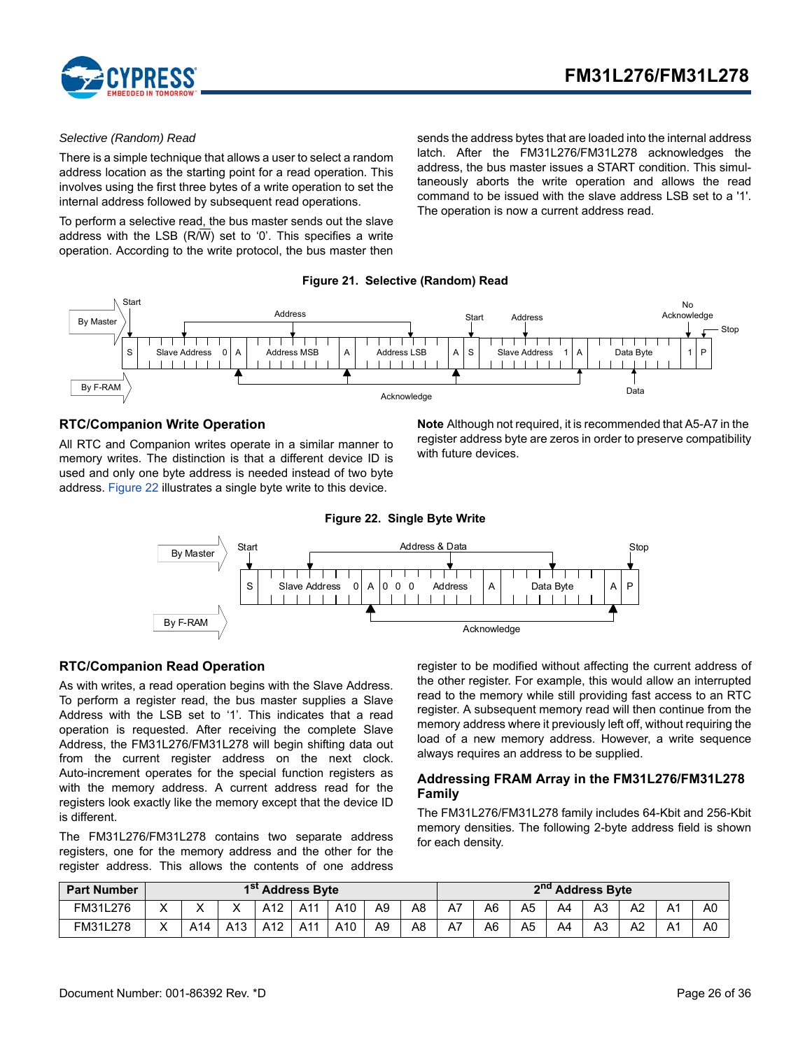

#### *Selective (Random) Read*

There is a simple technique that allows a user to select a random address location as the starting point for a read operation. This involves using the first three bytes of a write operation to set the internal address followed by subsequent read operations.

To perform a selective read, the bus master sends out the slave address with the LSB (R/W) set to '0'. This specifies a write operation. According to the write protocol, the bus master then sends the address bytes that are loaded into the internal address latch. After the FM31L276/FM31L278 acknowledges the address, the bus master issues a START condition. This simultaneously aborts the write operation and allows the read command to be issued with the slave address LSB set to a '1'. The operation is now a current address read.





### <span id="page-25-0"></span>**RTC/Companion Write Operation**

<span id="page-25-3"></span>All RTC and Companion writes operate in a similar manner to memory writes. The distinction is that a different device ID is used and only one byte address is needed instead of two byte address. [Figure 22](#page-25-3) illustrates a single byte write to this device.

**Note** Although not required, it is recommended that A5-A7 in the register address byte are zeros in order to preserve compatibility with future devices.



#### <span id="page-25-1"></span>**RTC/Companion Read Operation**

As with writes, a read operation begins with the Slave Address. To perform a register read, the bus master supplies a Slave Address with the LSB set to '1'. This indicates that a read operation is requested. After receiving the complete Slave Address, the FM31L276/FM31L278 will begin shifting data out from the current register address on the next clock. Auto-increment operates for the special function registers as with the memory address. A current address read for the registers look exactly like the memory except that the device ID is different.

The FM31L276/FM31L278 contains two separate address registers, one for the memory address and the other for the register address. This allows the contents of one address register to be modified without affecting the current address of the other register. For example, this would allow an interrupted read to the memory while still providing fast access to an RTC register. A subsequent memory read will then continue from the memory address where it previously left off, without requiring the load of a new memory address. However, a write sequence always requires an address to be supplied.

### <span id="page-25-2"></span>**Addressing FRAM Array in the FM31L276/FM31L278 Family**

The FM31L276/FM31L278 family includes 64-Kbit and 256-Kbit memory densities. The following 2-byte address field is shown for each density.

| <b>Part Number</b> | 1 <sup>st</sup> Address Byte |     |                 |                 |     |                 |    |                | 2 <sup>nd</sup> Address Byte |    |    |    |                |                |                      |                |
|--------------------|------------------------------|-----|-----------------|-----------------|-----|-----------------|----|----------------|------------------------------|----|----|----|----------------|----------------|----------------------|----------------|
| FM31L276           | v                            |     |                 | A <sub>12</sub> | A11 | A <sub>10</sub> | A9 | A8             | A7                           | A6 | A5 | A4 | A <sub>3</sub> | A <sub>2</sub> | $\mathsf{A}^{\cdot}$ | A <sub>0</sub> |
| FM31L278           | $\checkmark$                 | A14 | A <sub>13</sub> | A12             | A11 | A10             | A9 | A <sub>8</sub> | A7                           | A6 | A5 | A4 | A3             | A <sub>2</sub> | A.                   | A <sub>0</sub> |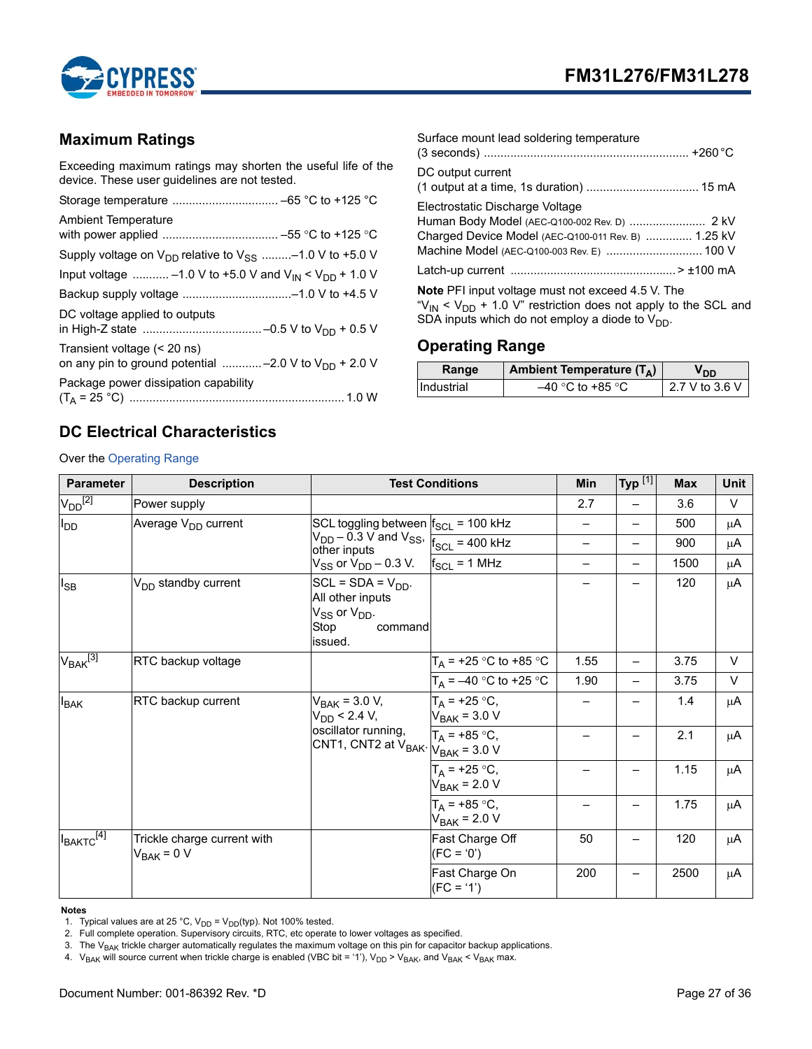



# <span id="page-26-0"></span>**Maximum Ratings**

Exceeding maximum ratings may shorten the useful life of the device. These user guidelines are not tested.

| <b>Ambient Temperature</b>                                                                |
|-------------------------------------------------------------------------------------------|
| Supply voltage on $V_{DD}$ relative to $V_{SS}$ -1.0 V to +5.0 V                          |
| Input voltage  -1.0 V to +5.0 V and V <sub>IN</sub> < V <sub>DD</sub> + 1.0 V             |
|                                                                                           |
| DC voltage applied to outputs                                                             |
| Transient voltage (< 20 ns)<br>on any pin to ground potential  -2.0 V to $V_{DD}$ + 2.0 V |
| Package power dissipation capability                                                      |

| Surface mount lead soldering temperature                                                                                             |
|--------------------------------------------------------------------------------------------------------------------------------------|
| DC output current                                                                                                                    |
| Electrostatic Discharge Voltage<br>Charged Device Model (AEC-Q100-011 Rev. B)  1.25 kV<br>Machine Model (AEC-Q100-003 Rev. E)  100 V |
|                                                                                                                                      |
| <b>Note</b> PFI input voltage must not exceed 4.5 V. The<br>" $V_{IN}$ < $V_{DD}$ + 1.0 V" restriction does not apply to the SCL and |

# <span id="page-26-1"></span>**Operating Range**

| Range      | Ambient Temperature $(T_A)$ | חח             |
|------------|-----------------------------|----------------|
| Hndustrial | $-40$ °C to +85 °C          | 2.7 V to 3.6 V |

SDA inputs which do not employ a diode to  $\mathsf{V}_{\textsf{DD}}.$ 

# <span id="page-26-2"></span>**DC Electrical Characteristics**

Over the [Operating Range](#page-26-1)

| <b>Parameter</b>    | <b>Description</b>                             |                                                                                                 | <b>Test Conditions</b>               | <b>Min</b>        | Typ $^{[1]}$             | <b>Max</b> | <b>Unit</b> |
|---------------------|------------------------------------------------|-------------------------------------------------------------------------------------------------|--------------------------------------|-------------------|--------------------------|------------|-------------|
| $V_{DD}^{[2]}$      | Power supply                                   |                                                                                                 |                                      | 2.7               |                          | 3.6        | $\vee$      |
| $I_{DD}$            | Average V <sub>DD</sub> current                | SCL toggling between $f_{SCL}$ = 100 kHz                                                        |                                      |                   | —                        | 500        | μA          |
|                     |                                                | $V_{DD}$ – 0.3 V and V <sub>SS</sub> , $V_{SCL}$ = 400 kHz<br>other inputs                      |                                      | $\qquad \qquad -$ | —                        | 900        | μA          |
|                     |                                                | $V_{SS}$ or $V_{DD}$ – 0.3 V. $f_{SCL}$ = 1 MHz                                                 |                                      |                   | —                        | 1500       | μA          |
| $I_{SB}$            | V <sub>DD</sub> standby current                | $SCL = SDA = VDD$ .<br>All other inputs<br>$V_{SS}$ or $V_{DD}$ .<br>Stop<br>command<br>issued. |                                      |                   |                          | 120        | μA          |
| $\rm V_{BAK}^{[3]}$ | RTC backup voltage                             |                                                                                                 | $T_A$ = +25 °C to +85 °C             | 1.55              | $\overline{\phantom{0}}$ | 3.75       | $\vee$      |
|                     |                                                |                                                                                                 | $T_A = -40$ °C to +25 °C             | 1.90              | $\overline{\phantom{0}}$ | 3.75       | $\vee$      |
| <b>I</b> BAK        | RTC backup current                             | $V_{BAK}$ = 3.0 V,<br>$V_{DD}$ < 2.4 V,                                                         | $T_A = +25 °C,$<br>$V_{BAK}$ = 3.0 V |                   |                          | 1.4        | μA          |
|                     |                                                | oscillator running,<br>CNT1, CNT2 at $V_{BAK}$ . $V_{BAK}$ = 3.0 V                              | $T_A = +85 °C,$                      |                   |                          | 2.1        | μA          |
|                     |                                                |                                                                                                 | $T_A = +25 °C,$<br>$V_{BAK}$ = 2.0 V |                   |                          | 1.15       | μA          |
|                     |                                                |                                                                                                 | $T_A = +85 °C,$<br>$V_{BAK}$ = 2.0 V |                   |                          | 1.75       | μA          |
| $I_{BAKTC}^{[4]}$   | Trickle charge current with<br>$V_{BAK} = 0 V$ |                                                                                                 | Fast Charge Off<br>$(FC = '0')$      | 50                |                          | 120        | μA          |
|                     |                                                |                                                                                                 | Fast Charge On<br>$(FC = '1')$       | 200               |                          | 2500       | μA          |

**Notes**

<span id="page-26-3"></span>1. Typical values are at 25 °C,  $V_{DD} = V_{DD}(typ)$ . Not 100% tested.

<span id="page-26-4"></span>2. Full complete operation. Supervisory circuits, RTC, etc operate to lower voltages as specified.

<span id="page-26-5"></span>3. The  $V_{BAK}$  trickle charger automatically regulates the maximum voltage on this pin for capacitor backup applications.

<span id="page-26-6"></span>4.  $V_{BAK}$  will source current when trickle charge is enabled (VBC bit = '1'),  $V_{DD} > V_{BAK}$ , and  $V_{BAK} < V_{BAK}$  max.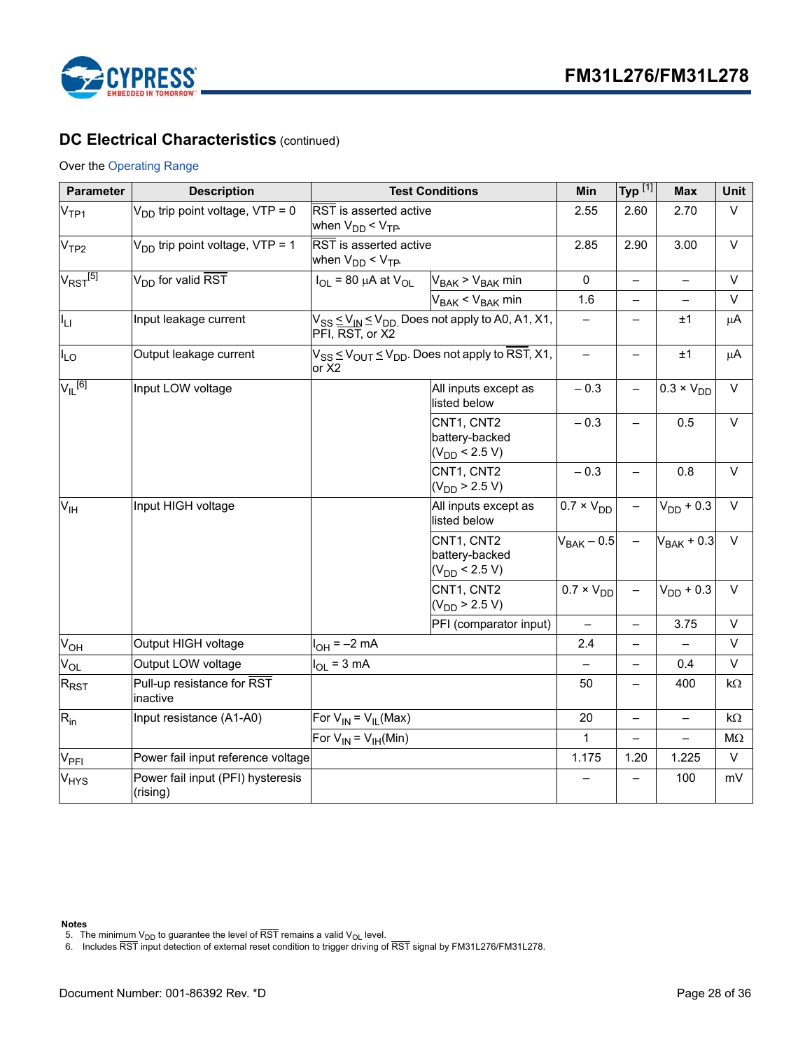

# **DC Electrical Characteristics** (continued)

### Over the Operating Range

| Parameter                       | <b>Description</b>                            | <b>Test Conditions</b>                               | Min                                                            | Typ $^{[1]}$        | <b>Max</b>               | Unit                     |           |
|---------------------------------|-----------------------------------------------|------------------------------------------------------|----------------------------------------------------------------|---------------------|--------------------------|--------------------------|-----------|
| V <sub>TP1</sub>                | $V_{DD}$ trip point voltage, VTP = 0          | RST is asserted active<br>when $V_{DD}$ < $V_{TP}$ . |                                                                | 2.55                | 2.60                     | 2.70                     | $\vee$    |
| V <sub>TP2</sub>                | $V_{DD}$ trip point voltage, VTP = 1          | RST is asserted active<br>when $V_{DD}$ < $V_{TP}$   |                                                                | 2.85                | 2.90                     | 3.00                     | $\vee$    |
| $V_{\text{RST}}$ <sup>[5]</sup> | V <sub>DD</sub> for valid RST                 | $I_{OL}$ = 80 µA at $V_{OL}$                         | $V_{BAK}$ > $V_{BAK}$ min                                      | 0                   |                          | $\qquad \qquad -$        | $\vee$    |
|                                 |                                               |                                                      | $V_{BAK}$ < $V_{BAK}$ min                                      | 1.6                 | $\overline{\phantom{0}}$ | $\overline{\phantom{0}}$ | $\vee$    |
| ILI.                            | Input leakage current                         | PFI, RST, or X2                                      | $V_{SS} \leq V_{IN} \leq V_{DD}$ Does not apply to A0, A1, X1, |                     | —                        | ±1                       | $\mu$ A   |
| $I_{LO}$                        | Output leakage current                        | or X2                                                | $V_{SS} \leq V_{OUT} \leq V_{DD}$ . Does not apply to RST, X1, | $\qquad \qquad -$   | $\overline{\phantom{0}}$ | ±1                       | $\mu$ A   |
| $V_{\parallel}$ [6]             | Input LOW voltage                             |                                                      | All inputs except as<br>listed below                           | $-0.3$              | $\qquad \qquad -$        | $0.3 \times V_{DD}$      | $\vee$    |
|                                 |                                               |                                                      | CNT1, CNT2<br>battery-backed<br>$(V_{DD}$ < 2.5 V)             | $-0.3$              |                          | 0.5                      | V         |
|                                 |                                               |                                                      | CNT1, CNT2<br>$(V_{DD} > 2.5 V)$                               | $-0.3$              |                          | 0.8                      | $\vee$    |
| $V_{\text{IH}}$                 | Input HIGH voltage                            |                                                      | All inputs except as<br>listed below                           | $0.7 \times V_{DD}$ |                          | $V_{DD}$ + 0.3           | $\vee$    |
|                                 |                                               |                                                      | CNT1, CNT2<br>battery-backed<br>$(V_{DD}$ < 2.5 V)             | $V_{BAK}$ – 0.5     |                          | $V_{BAK}$ + 0.3          | $\vee$    |
|                                 |                                               |                                                      | CNT1, CNT2<br>$(V_{DD} > 2.5 V)$                               | $0.7 \times V_{DD}$ |                          | $V_{DD}$ + 0.3           | $\vee$    |
|                                 |                                               |                                                      | PFI (comparator input)                                         | $\qquad \qquad -$   | $\overline{\phantom{0}}$ | 3.75                     | $\vee$    |
| $V_{OH}$                        | Output HIGH voltage                           | $I_{OH} = -2$ mA                                     |                                                                | 2.4                 |                          | $\equiv$                 | $\vee$    |
| $V_{OL}$                        | Output LOW voltage                            | $I_{OL} = 3 mA$                                      |                                                                |                     | —                        | 0.4                      | $\vee$    |
| $R_{\mathsf{RST}}$              | Pull-up resistance for RST<br>inactive        |                                                      |                                                                | 50                  | —                        | 400                      | $k\Omega$ |
| $R_{in}$                        | Input resistance (A1-A0)                      | For $V_{IN} = V_{II}$ (Max)                          |                                                                | 20                  | $\overline{\phantom{0}}$ | $\equiv$                 | $k\Omega$ |
|                                 |                                               | For $V_{IN} = V_{IH}(Min)$                           |                                                                | $\mathbf{1}$        |                          |                          | $M\Omega$ |
| V <sub>PFI</sub>                | Power fail input reference voltage            |                                                      |                                                                | 1.175               | 1.20                     | 1.225                    | V         |
| V <sub>HYS</sub>                | Power fail input (PFI) hysteresis<br>(rising) |                                                      |                                                                |                     |                          | 100                      | mV        |

- <span id="page-27-1"></span><span id="page-27-0"></span>
- **Notes**<br>5. The minimum V<sub>DD</sub> to guarantee the level of <del>RST</del> remains a valid V<sub>OL</sub> level.<br>6. Includes RST input detection of external reset condition to trigger driving of RST signal by FM31L276/FM31L278.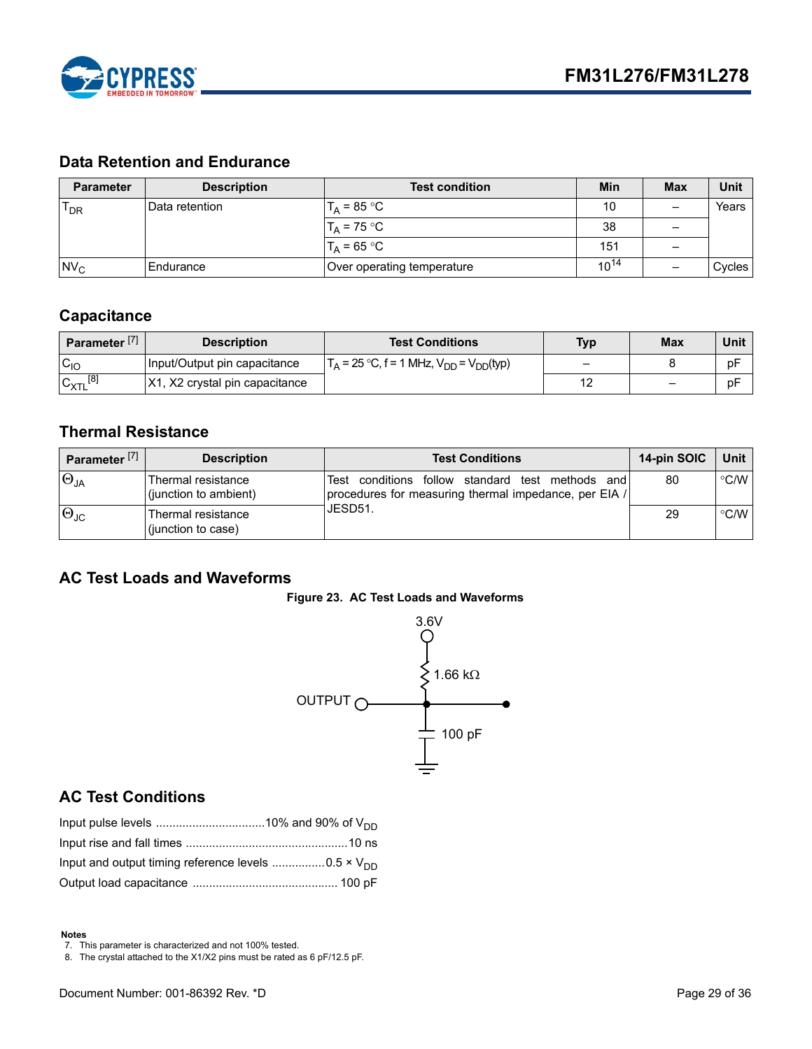

# <span id="page-28-0"></span>**Data Retention and Endurance**

| <b>Parameter</b> | <b>Description</b> | <b>Test condition</b>      | Min       | <b>Max</b>               | Unit   |
|------------------|--------------------|----------------------------|-----------|--------------------------|--------|
| $T_{DR}$         | IData retention    | $T_A = 85 °C$              | 10        | $\overline{\phantom{0}}$ | Years  |
|                  |                    | $T_A$ = 75 °C              | 38        |                          |        |
|                  |                    | $T_A = 65 °C$              | 151       |                          |        |
| N <sub>C</sub>   | IEndurance         | Over operating temperature | $10^{14}$ |                          | Cycles |

# <span id="page-28-1"></span>**Capacitance**

| Parameter <sup>[7]</sup> | <b>Description</b>             | <b>Test Conditions</b>                                                     | <b>Typ</b>               | <b>Max</b> | Unit |
|--------------------------|--------------------------------|----------------------------------------------------------------------------|--------------------------|------------|------|
| $C_{10}$                 | Input/Output pin capacitance   | $\Gamma_A = 25 \text{ °C}, f = 1 \text{ MHz}, V_{DD} = V_{DD}(\text{typ})$ | $\overline{\phantom{0}}$ |            | pF   |
| $C_{XTL}$ <sup>[8]</sup> | X1, X2 crystal pin capacitance |                                                                            | $\sim$                   |            | pF   |

# <span id="page-28-2"></span>**Thermal Resistance**

| Parameter <sup>[7]</sup> | <b>Description</b>                          | <b>Test Conditions</b>                                                                                             | 14-pin SOIC | Unit          |
|--------------------------|---------------------------------------------|--------------------------------------------------------------------------------------------------------------------|-------------|---------------|
| $\Theta_{JA}$            | Thermal resistance<br>(junction to ambient) | Test conditions follow standard<br>methods<br>test<br>and<br>procedures for measuring thermal impedance, per EIA / | 80          | $\degree$ C/W |
| $ \Theta_{\text{JC}} $   | Thermal resistance<br>(junction to case)    | IJESD51.                                                                                                           | 29          | $\degree$ C/W |

# <span id="page-28-7"></span><span id="page-28-3"></span>**AC Test Loads and Waveforms**





# <span id="page-28-4"></span>**AC Test Conditions**

#### **Notes**

<span id="page-28-5"></span>7. This parameter is characterized and not 100% tested.

<span id="page-28-6"></span>8. The crystal attached to the X1/X2 pins must be rated as 6 pF/12.5 pF.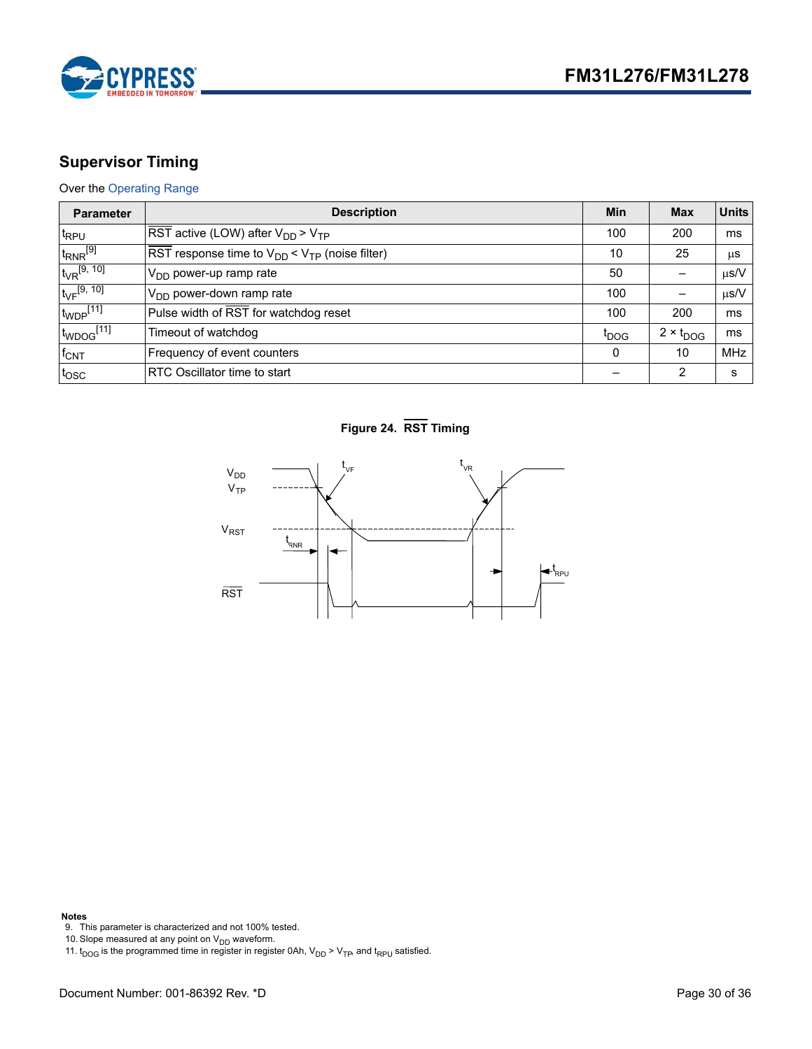

# <span id="page-29-0"></span>**Supervisor Timing**

# Over the [Operating Range](#page-26-1)

| <b>Parameter</b>           | <b>Description</b>                                                                        | Min              | <b>Max</b>         | <b>Units</b> |
|----------------------------|-------------------------------------------------------------------------------------------|------------------|--------------------|--------------|
| t <sub>RPU</sub>           | $\overline{\text{RST}}$ active (LOW) after $V_{DD}$ > $V_{TP}$                            | 100              | 200                | ms           |
| $t_{RNR}$ <sup>[9]</sup>   | $\overline{\text{RST}}$ response time to $V_{\text{DD}}$ < $V_{\text{TP}}$ (noise filter) | 10               | 25                 | $\mu$ s      |
| $t_{VR}^{[9, 10]}$         | $V_{DD}$ power-up ramp rate                                                               | 50               |                    | $\mu$ s/V    |
| $t_{\rm VF}$ [9, 10]       | V <sub>DD</sub> power-down ramp rate                                                      | 100              |                    | $\mu$ s/V    |
| $t_{WDP}$ [11]             | Pulse width of RST for watchdog reset                                                     | 100              | 200                | ms           |
| $t_{WDOG}$ <sup>[11]</sup> | Timeout of watchdog                                                                       | t <sub>DOG</sub> | $2 \times t_{DOG}$ | ms           |
| $f_{\text{CNT}}$           | Frequency of event counters                                                               | $\Omega$         | 10                 | <b>MHz</b>   |
| tosc                       | <b>RTC Oscillator time to start</b>                                                       |                  | 2                  | s            |

**Figure 24. RST Timing**



### **Notes**

<span id="page-29-1"></span>9. This parameter is characterized and not 100% tested.

<span id="page-29-2"></span>10. Slope measured at any point on  $\mathsf{V}_{\mathsf{DD}}$  waveform.

<span id="page-29-3"></span>11.  $t_{\text{DOG}}$  is the programmed time in register in register 0Ah,  $\mathsf{V}_{\text{DD}}$  >  $\mathsf{V}_{\text{TP}}$ , and  $t_{\mathsf{RPU}}$  satisfied.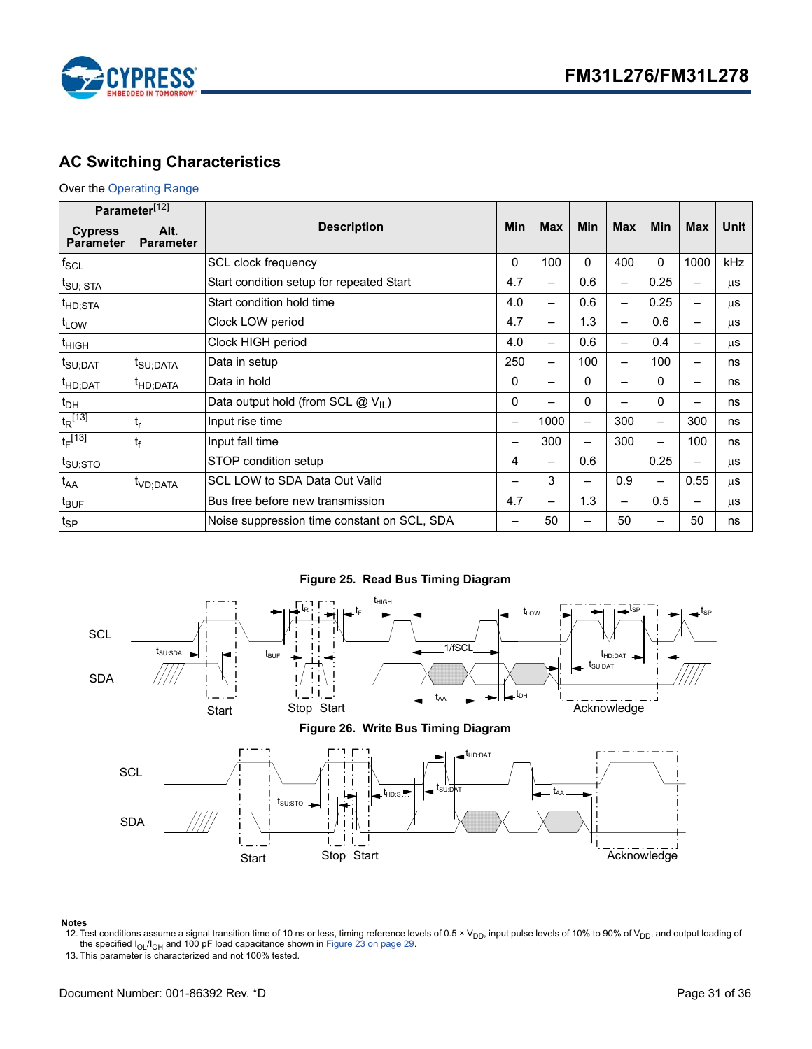

# <span id="page-30-0"></span>**AC Switching Characteristics**

### Over the [Operating Range](#page-26-1)

| Parameter <sup>[12]</sup>          |                          |                                                         |     |            |                          |                          |                          |            |         |
|------------------------------------|--------------------------|---------------------------------------------------------|-----|------------|--------------------------|--------------------------|--------------------------|------------|---------|
| <b>Cypress</b><br><b>Parameter</b> | Alt.<br><b>Parameter</b> | <b>Description</b>                                      |     | <b>Max</b> | <b>Min</b>               | <b>Max</b>               | <b>Min</b>               | <b>Max</b> | Unit    |
| $f_{\rm SCL}$                      |                          | SCL clock frequency                                     | 0   | 100        | 0                        | 400                      | $\Omega$                 | 1000       | kHz     |
| $t_{\text{SU};\; \text{STA}}$      |                          | Start condition setup for repeated Start                | 4.7 | —          | 0.6                      | —                        | 0.25                     |            | μS      |
| <sup>t</sup> HD;STA                |                          | Start condition hold time                               | 4.0 | —          | 0.6                      | —                        | 0.25                     |            | μS      |
| t <sub>LOW</sub>                   |                          | Clock LOW period                                        | 4.7 | -          | 1.3                      | $\overline{\phantom{0}}$ | 0.6                      |            | μS      |
| <sup>T</sup> HIGH                  |                          | Clock HIGH period                                       | 4.0 | —          | 0.6                      | —                        | 0.4                      |            | μS      |
| t <sub>SU;DAT</sub>                | <sup>I</sup> SU:DATA     | Data in setup                                           | 250 | —          | 100                      |                          | 100                      |            | ns      |
| <sup>t</sup> HD;DAT                | <sup>I</sup> HD;DATA     | Data in hold                                            | 0   | -          | 0                        | —                        | $\Omega$                 |            | ns      |
| $t_{DH}$                           |                          | 0<br>0<br>Data output hold (from SCL $@V_{\text{II}}$ ) |     |            | $\Omega$                 |                          | ns                       |            |         |
| $t_R$ [13]                         | $t_r$                    | Input rise time                                         | —   | 1000       | $\overline{\phantom{0}}$ | 300                      | $\overline{\phantom{0}}$ | 300        | ns      |
| $t_F$ [13]                         | $t_f$                    | Input fall time                                         | —   | 300        | -                        | 300                      | $\overline{\phantom{0}}$ | 100        | ns      |
| $t_{\text{SU;STO}}$                |                          | STOP condition setup                                    | 4   | —          | 0.6                      |                          | 0.25                     |            | μS      |
| $t_{AA}$                           | <sup>t</sup> VD:DATA     | <b>SCL LOW to SDA Data Out Valid</b>                    |     | 3          |                          | 0.9                      |                          | 0.55       | μS      |
| $t_{\text{BUF}}$                   |                          | Bus free before new transmission                        | 4.7 | -          | 1.3                      | —                        | 0.5                      |            | $\mu$ s |
| $t_{SP}$                           |                          | Noise suppression time constant on SCL, SDA             |     | 50         |                          | 50                       |                          | 50         | ns      |

**Figure 25. Read Bus Timing Diagram**





#### **Notes**

<span id="page-30-1"></span>12. Test conditions assume a signal transition time of 10 ns or less, timing reference levels of 0.5 × V<sub>DD</sub>, input pulse levels of 10% to 90% of V<sub>DD</sub>, and output loading of the specified  $I_{OL}/I_{OH}$  and 100 pF load capacitance shown in [Figure 23 on page 29](#page-28-7).

<span id="page-30-2"></span>13. This parameter is characterized and not 100% tested.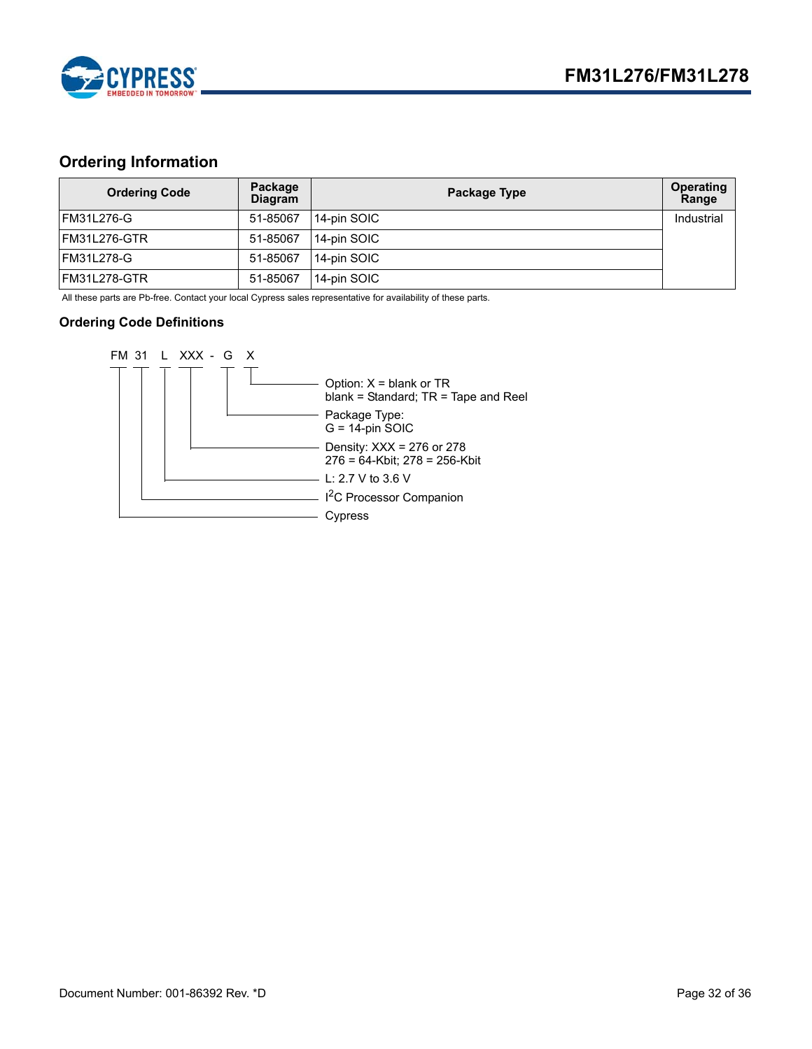

# <span id="page-31-0"></span>**Ordering Information**

| <b>Ordering Code</b> | Package<br><b>Diagram</b> | Package Type | Operating<br>Range |
|----------------------|---------------------------|--------------|--------------------|
| <b>FM31L276-G</b>    | 51-85067                  | 14-pin SOIC  | Industrial         |
| IFM31L276-GTR        | 51-85067                  | 14-pin SOIC  |                    |
| FM31L278-G           | 51-85067                  | 14-pin SOIC  |                    |
| IFM31L278-GTR        | 51-85067                  | 14-pin SOIC  |                    |

All these parts are Pb-free. Contact your local Cypress sales representative for availability of these parts.

### <span id="page-31-1"></span>**Ordering Code Definitions**

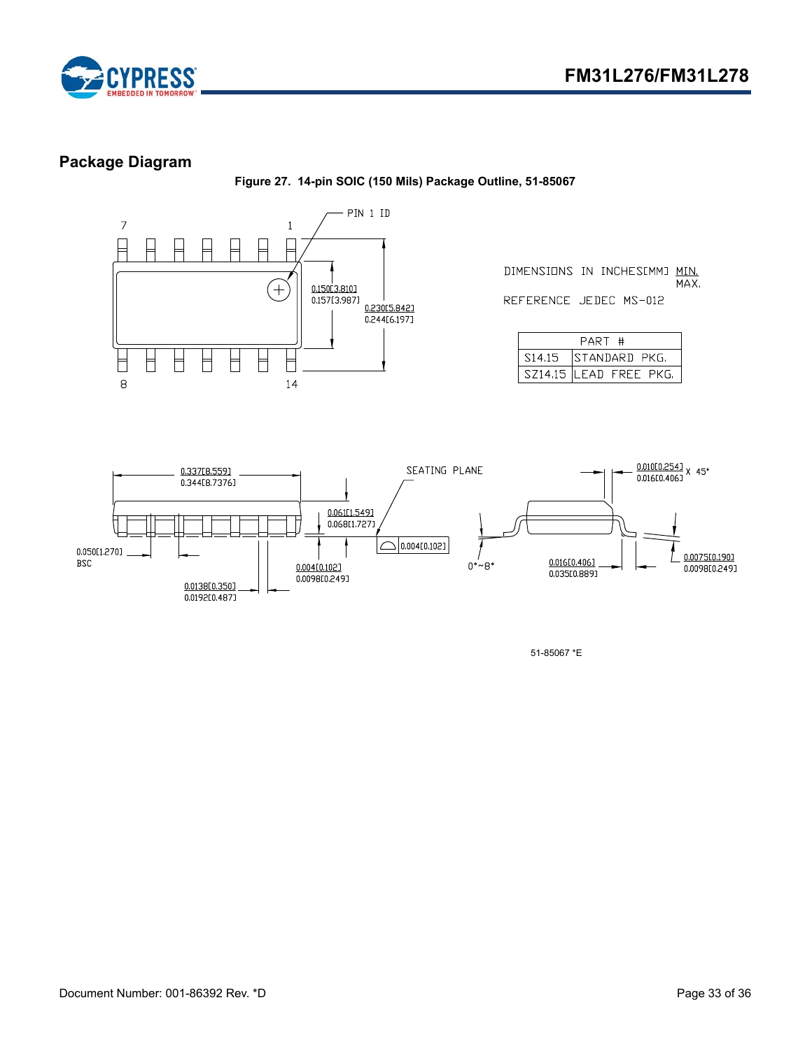



# <span id="page-32-0"></span>**Package Diagram**

**Figure 27. 14-pin SOIC (150 Mils) Package Outline, 51-85067**



DIMENSIONS IN INCHESIMMJ MIN. MAX. REFERENCE JEDEC MS-012

| PART<br>. #         |                         |  |  |  |
|---------------------|-------------------------|--|--|--|
| S <sub>14</sub> .15 | ISTANDARD PKG.          |  |  |  |
|                     | SZ14.15 ILEAD FREE PKG. |  |  |  |



51-85067 \*E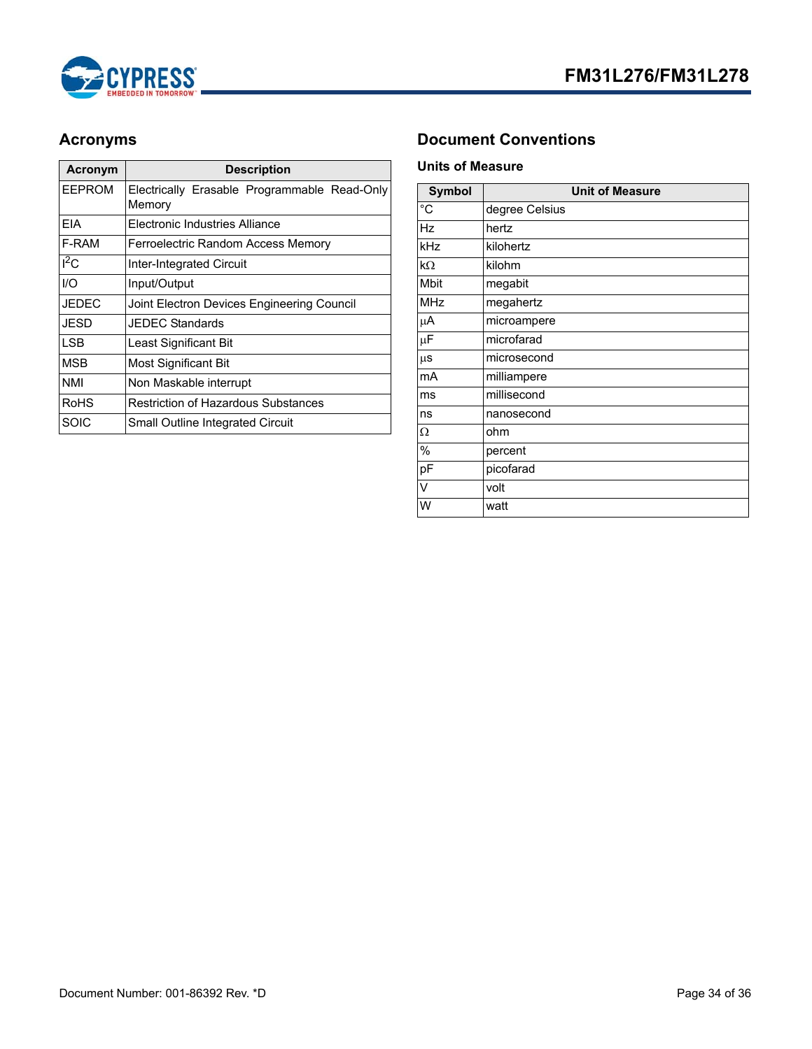

| <b>Acronym</b> | <b>Description</b>                                     |
|----------------|--------------------------------------------------------|
| EEPROM         | Electrically Erasable Programmable Read-Only<br>Memory |
| FIA            | Flectronic Industries Alliance                         |
| F-RAM          | Ferroelectric Random Access Memory                     |
| $I^2C$         | Inter-Integrated Circuit                               |
| 1/O            | Input/Output                                           |
| JEDEC          | Joint Electron Devices Engineering Council             |
| JESD           | JEDEC Standards                                        |
| I SB           | Least Significant Bit                                  |
| MSB            | Most Significant Bit                                   |
| NMI            | Non Maskable interrupt                                 |
| RoHS           | Restriction of Hazardous Substances                    |
| SOIC           | <b>Small Outline Integrated Circuit</b>                |

# <span id="page-33-0"></span>**Acronyms Document Conventions**

### <span id="page-33-2"></span><span id="page-33-1"></span>**Units of Measure**

| <b>Symbol</b> | <b>Unit of Measure</b> |
|---------------|------------------------|
| $^{\circ}$ C  | degree Celsius         |
| Hz            | hertz                  |
| kHz           | kilohertz              |
| $k\Omega$     | kilohm                 |
| Mbit          | megabit                |
| <b>MHz</b>    | megahertz              |
| μA            | microampere            |
| $\mu$ F       | microfarad             |
| $\mu$ s       | microsecond            |
| mA            | milliampere            |
| ms            | millisecond            |
| ns            | nanosecond             |
| Ω             | ohm                    |
| %             | percent                |
| pF            | picofarad              |
| V             | volt                   |
| W             | watt                   |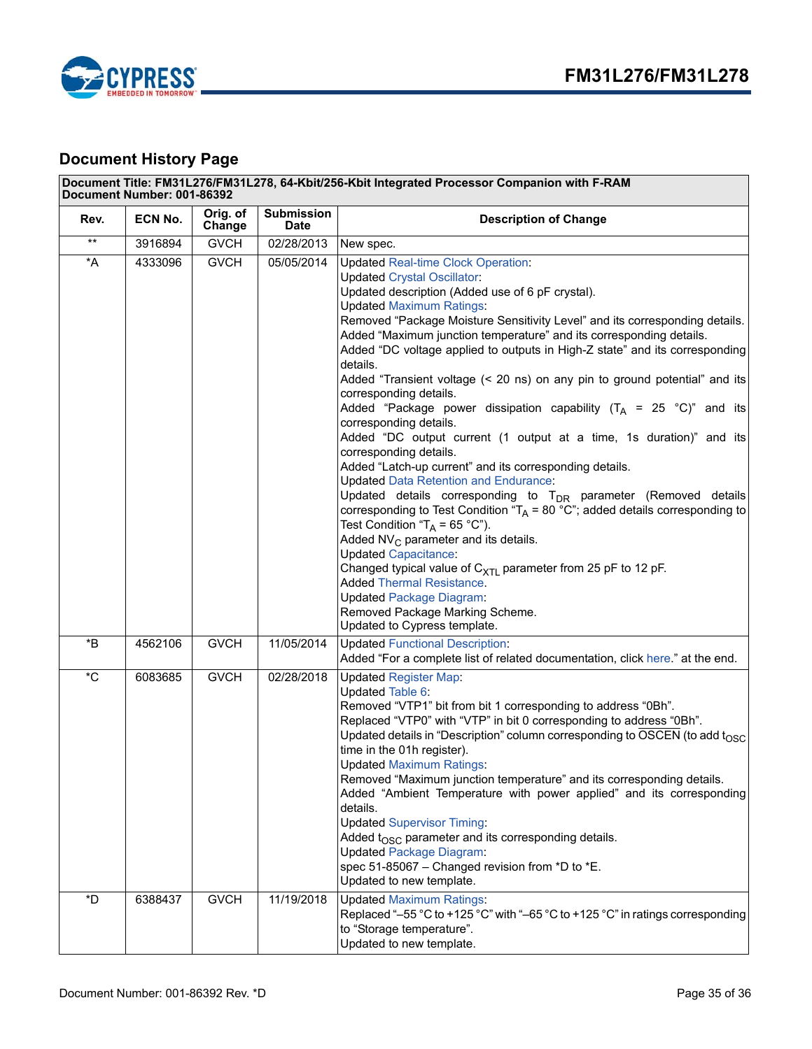

# <span id="page-34-0"></span>**Document History Page**

| Document Title: FM31L276/FM31L278, 64-Kbit/256-Kbit Integrated Processor Companion with F-RAM<br>Document Number: 001-86392 |         |                    |                                  |                                                                                                                                                                                                                                                                                                                                                                                                                                                                                                                                                                                                                                                                                                                                                                                                                                                                                                                                                                                                                                                                                                                                                                                                                                                                                                                                                                  |  |  |
|-----------------------------------------------------------------------------------------------------------------------------|---------|--------------------|----------------------------------|------------------------------------------------------------------------------------------------------------------------------------------------------------------------------------------------------------------------------------------------------------------------------------------------------------------------------------------------------------------------------------------------------------------------------------------------------------------------------------------------------------------------------------------------------------------------------------------------------------------------------------------------------------------------------------------------------------------------------------------------------------------------------------------------------------------------------------------------------------------------------------------------------------------------------------------------------------------------------------------------------------------------------------------------------------------------------------------------------------------------------------------------------------------------------------------------------------------------------------------------------------------------------------------------------------------------------------------------------------------|--|--|
| Rev.                                                                                                                        | ECN No. | Orig. of<br>Change | <b>Submission</b><br><b>Date</b> | <b>Description of Change</b>                                                                                                                                                                                                                                                                                                                                                                                                                                                                                                                                                                                                                                                                                                                                                                                                                                                                                                                                                                                                                                                                                                                                                                                                                                                                                                                                     |  |  |
| $\star\star$                                                                                                                | 3916894 | <b>GVCH</b>        | 02/28/2013                       | New spec.                                                                                                                                                                                                                                                                                                                                                                                                                                                                                                                                                                                                                                                                                                                                                                                                                                                                                                                                                                                                                                                                                                                                                                                                                                                                                                                                                        |  |  |
| $^{\star}$ A                                                                                                                | 4333096 | <b>GVCH</b>        | 05/05/2014                       | <b>Updated Real-time Clock Operation:</b><br><b>Updated Crystal Oscillator:</b><br>Updated description (Added use of 6 pF crystal).<br><b>Updated Maximum Ratings:</b><br>Removed "Package Moisture Sensitivity Level" and its corresponding details.<br>Added "Maximum junction temperature" and its corresponding details.<br>Added "DC voltage applied to outputs in High-Z state" and its corresponding<br>details.<br>Added "Transient voltage (< 20 ns) on any pin to ground potential" and its<br>corresponding details.<br>Added "Package power dissipation capability $(T_A = 25 \degree C)^n$ and its<br>corresponding details.<br>Added "DC output current (1 output at a time, 1s duration)" and its<br>corresponding details.<br>Added "Latch-up current" and its corresponding details.<br><b>Updated Data Retention and Endurance:</b><br>Updated details corresponding to T <sub>DR</sub> parameter (Removed details<br>corresponding to Test Condition " $T_A$ = 80 °C"; added details corresponding to<br>Test Condition " $T_A = 65 °C$ ").<br>Added NV <sub>C</sub> parameter and its details.<br><b>Updated Capacitance:</b><br>Changed typical value of $C_{XTL}$ parameter from 25 pF to 12 pF.<br><b>Added Thermal Resistance.</b><br><b>Updated Package Diagram:</b><br>Removed Package Marking Scheme.<br>Updated to Cypress template. |  |  |
| *B                                                                                                                          | 4562106 | <b>GVCH</b>        | 11/05/2014                       | <b>Updated Functional Description:</b><br>Added "For a complete list of related documentation, click here." at the end.                                                                                                                                                                                                                                                                                                                                                                                                                                                                                                                                                                                                                                                                                                                                                                                                                                                                                                                                                                                                                                                                                                                                                                                                                                          |  |  |
| $^\star \text{C}$                                                                                                           | 6083685 | <b>GVCH</b>        | 02/28/2018                       | <b>Updated Register Map:</b><br><b>Updated Table 6:</b><br>Removed "VTP1" bit from bit 1 corresponding to address "0Bh".<br>Replaced "VTP0" with "VTP" in bit 0 corresponding to address "0Bh".<br>Updated details in "Description" column corresponding to OSCEN (to add t <sub>OSC</sub><br>time in the 01h register).<br><b>Updated Maximum Ratings:</b><br>Removed "Maximum junction temperature" and its corresponding details.<br>Added "Ambient Temperature with power applied" and its corresponding<br>details.<br><b>Updated Supervisor Timing:</b><br>Added $t_{\rm OSC}$ parameter and its corresponding details.<br><b>Updated Package Diagram:</b><br>spec 51-85067 - Changed revision from *D to *E.<br>Updated to new template.                                                                                                                                                                                                                                                                                                                                                                                                                                                                                                                                                                                                                  |  |  |
| *D                                                                                                                          | 6388437 | <b>GVCH</b>        | 11/19/2018                       | <b>Updated Maximum Ratings:</b><br>Replaced "-55 °C to +125 °C" with "-65 °C to +125 °C" in ratings corresponding<br>to "Storage temperature".<br>Updated to new template.                                                                                                                                                                                                                                                                                                                                                                                                                                                                                                                                                                                                                                                                                                                                                                                                                                                                                                                                                                                                                                                                                                                                                                                       |  |  |